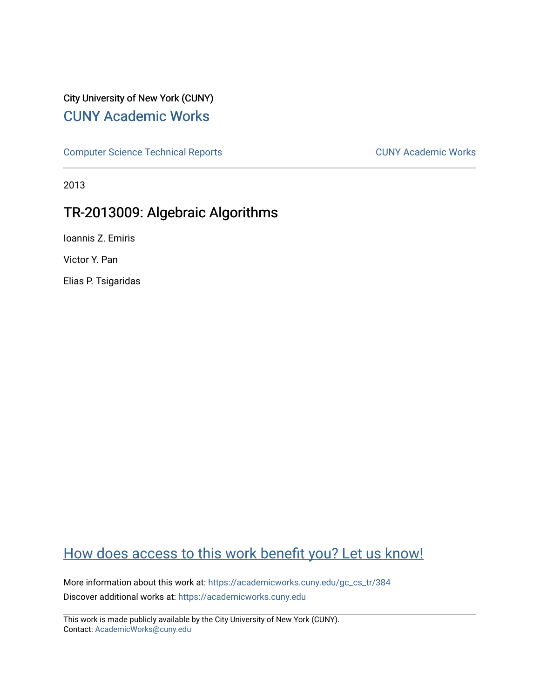# City University of New York (CUNY) [CUNY Academic Works](https://academicworks.cuny.edu/)

[Computer Science Technical Reports](https://academicworks.cuny.edu/gc_cs_tr) **CUNY Academic Works** CUNY Academic Works

2013

# TR-2013009: Algebraic Algorithms

Ioannis Z. Emiris

Victor Y. Pan

Elias P. Tsigaridas

# [How does access to this work benefit you? Let us know!](http://ols.cuny.edu/academicworks/?ref=https://academicworks.cuny.edu/gc_cs_tr/384)

More information about this work at: [https://academicworks.cuny.edu/gc\\_cs\\_tr/384](https://academicworks.cuny.edu/gc_cs_tr/384)  Discover additional works at: [https://academicworks.cuny.edu](https://academicworks.cuny.edu/?)

This work is made publicly available by the City University of New York (CUNY). Contact: [AcademicWorks@cuny.edu](mailto:AcademicWorks@cuny.edu)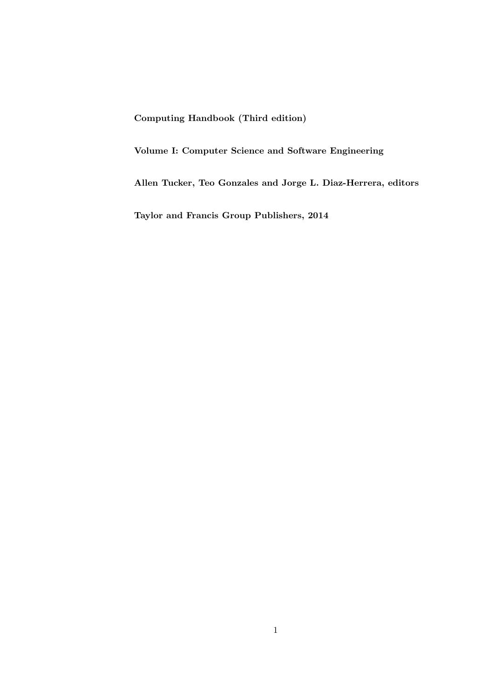Computing Handbook (Third edition)

Volume I: Computer Science and Software Engineering

Allen Tucker, Teo Gonzales and Jorge L. Diaz-Herrera, editors

Taylor and Francis Group Publishers, 2014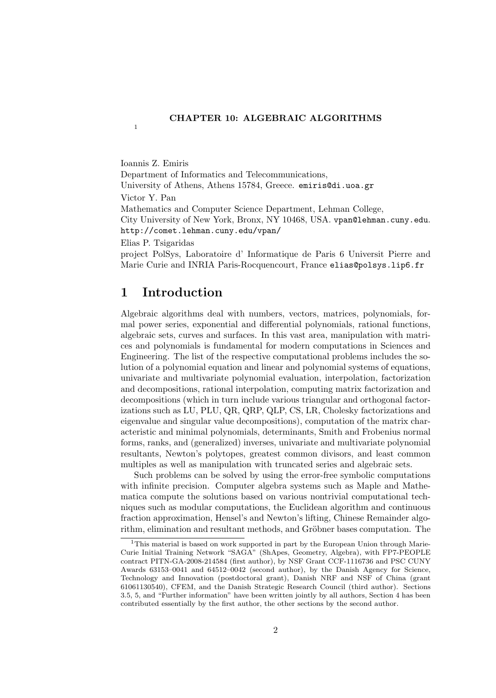#### CHAPTER 10: ALGEBRAIC ALGORITHMS

Ioannis Z. Emiris Department of Informatics and Telecommunications, University of Athens, Athens 15784, Greece. emiris@di.uoa.gr Victor Y. Pan Mathematics and Computer Science Department, Lehman College, City University of New York, Bronx, NY 10468, USA. vpan@lehman.cuny.edu. http://comet.lehman.cuny.edu/vpan/ Elias P. Tsigaridas project PolSys, Laboratoire d' Informatique de Paris 6 Universit Pierre and

Marie Curie and INRIA Paris-Rocquencourt, France elias@polsys.lip6.fr

## 1 Introduction

1

Algebraic algorithms deal with numbers, vectors, matrices, polynomials, formal power series, exponential and differential polynomials, rational functions, algebraic sets, curves and surfaces. In this vast area, manipulation with matrices and polynomials is fundamental for modern computations in Sciences and Engineering. The list of the respective computational problems includes the solution of a polynomial equation and linear and polynomial systems of equations, univariate and multivariate polynomial evaluation, interpolation, factorization and decompositions, rational interpolation, computing matrix factorization and decompositions (which in turn include various triangular and orthogonal factorizations such as LU, PLU, QR, QRP, QLP, CS, LR, Cholesky factorizations and eigenvalue and singular value decompositions), computation of the matrix characteristic and minimal polynomials, determinants, Smith and Frobenius normal forms, ranks, and (generalized) inverses, univariate and multivariate polynomial resultants, Newton's polytopes, greatest common divisors, and least common multiples as well as manipulation with truncated series and algebraic sets.

Such problems can be solved by using the error-free symbolic computations with infinite precision. Computer algebra systems such as Maple and Mathematica compute the solutions based on various nontrivial computational techniques such as modular computations, the Euclidean algorithm and continuous fraction approximation, Hensel's and Newton's lifting, Chinese Remainder algorithm, elimination and resultant methods, and Gröbner bases computation. The

<sup>&</sup>lt;sup>1</sup>This material is based on work supported in part by the European Union through Marie-Curie Initial Training Network "SAGA" (ShApes, Geometry, Algebra), with FP7-PEOPLE contract PITN-GA-2008-214584 (first author), by NSF Grant CCF-1116736 and PSC CUNY Awards 63153–0041 and 64512–0042 (second author), by the Danish Agency for Science, Technology and Innovation (postdoctoral grant), Danish NRF and NSF of China (grant 61061130540), CFEM, and the Danish Strategic Research Council (third author). Sections 3.5, 5, and "Further information" have been written jointly by all authors, Section 4 has been contributed essentially by the first author, the other sections by the second author.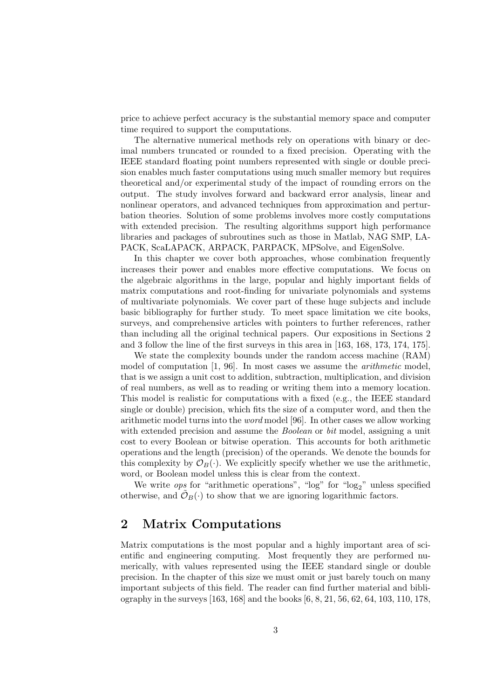price to achieve perfect accuracy is the substantial memory space and computer time required to support the computations.

The alternative numerical methods rely on operations with binary or decimal numbers truncated or rounded to a fixed precision. Operating with the IEEE standard floating point numbers represented with single or double precision enables much faster computations using much smaller memory but requires theoretical and/or experimental study of the impact of rounding errors on the output. The study involves forward and backward error analysis, linear and nonlinear operators, and advanced techniques from approximation and perturbation theories. Solution of some problems involves more costly computations with extended precision. The resulting algorithms support high performance libraries and packages of subroutines such as those in Matlab, NAG SMP, LA-PACK, ScaLAPACK, ARPACK, PARPACK, MPSolve, and EigenSolve.

In this chapter we cover both approaches, whose combination frequently increases their power and enables more effective computations. We focus on the algebraic algorithms in the large, popular and highly important fields of matrix computations and root-finding for univariate polynomials and systems of multivariate polynomials. We cover part of these huge subjects and include basic bibliography for further study. To meet space limitation we cite books, surveys, and comprehensive articles with pointers to further references, rather than including all the original technical papers. Our expositions in Sections 2 and 3 follow the line of the first surveys in this area in [163, 168, 173, 174, 175].

We state the complexity bounds under the random access machine (RAM) model of computation [1, 96]. In most cases we assume the *arithmetic* model, that is we assign a unit cost to addition, subtraction, multiplication, and division of real numbers, as well as to reading or writing them into a memory location. This model is realistic for computations with a fixed (e.g., the IEEE standard single or double) precision, which fits the size of a computer word, and then the arithmetic model turns into the word model [96]. In other cases we allow working with extended precision and assume the *Boolean* or *bit* model, assigning a unit cost to every Boolean or bitwise operation. This accounts for both arithmetic operations and the length (precision) of the operands. We denote the bounds for this complexity by  $\mathcal{O}_B(\cdot)$ . We explicitly specify whether we use the arithmetic, word, or Boolean model unless this is clear from the context.

We write *ops* for "arithmetic operations", "log" for "log<sub>2</sub>" unless specified otherwise, and  $\mathcal{O}_B(\cdot)$  to show that we are ignoring logarithmic factors.

## 2 Matrix Computations

Matrix computations is the most popular and a highly important area of scientific and engineering computing. Most frequently they are performed numerically, with values represented using the IEEE standard single or double precision. In the chapter of this size we must omit or just barely touch on many important subjects of this field. The reader can find further material and bibliography in the surveys [163, 168] and the books [6, 8, 21, 56, 62, 64, 103, 110, 178,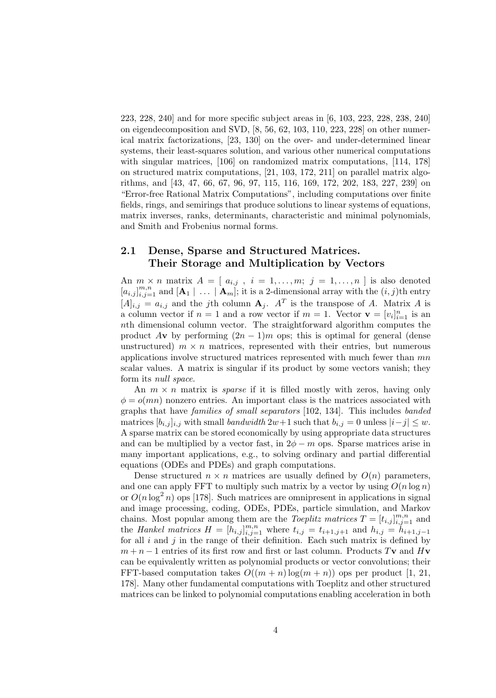223, 228, 240] and for more specific subject areas in [6, 103, 223, 228, 238, 240] on eigendecomposition and SVD, [8, 56, 62, 103, 110, 223, 228] on other numerical matrix factorizations, [23, 130] on the over- and under-determined linear systems, their least-squares solution, and various other numerical computations with singular matrices, [106] on randomized matrix computations, [114, 178] on structured matrix computations, [21, 103, 172, 211] on parallel matrix algorithms, and [43, 47, 66, 67, 96, 97, 115, 116, 169, 172, 202, 183, 227, 239] on "Error-free Rational Matrix Computations", including computations over finite fields, rings, and semirings that produce solutions to linear systems of equations, matrix inverses, ranks, determinants, characteristic and minimal polynomials, and Smith and Frobenius normal forms.

### 2.1 Dense, Sparse and Structured Matrices. Their Storage and Multiplication by Vectors

An  $m \times n$  matrix  $A = [a_{i,j}, i = 1, \ldots, m; j = 1, \ldots, n]$  is also denoted  $[a_{i,j}]_{i,j=1}^{m,n}$  and  $[\mathbf{A}_1 | \dots | \mathbf{A}_m]$ ; it is a 2-dimensional array with the  $(i, j)$ th entry  $[A]_{i,j} = a_{i,j}$  and the jth column  $A_j$ .  $A^T$  is the transpose of A. Matrix A is a column vector if  $n = 1$  and a row vector if  $m = 1$ . Vector  $\mathbf{v} = [v_i]_{i=1}^n$  is an nth dimensional column vector. The straightforward algorithm computes the product Av by performing  $(2n - 1)m$  ops; this is optimal for general (dense unstructured)  $m \times n$  matrices, represented with their entries, but numerous applications involve structured matrices represented with much fewer than mn scalar values. A matrix is singular if its product by some vectors vanish; they form its null space.

An  $m \times n$  matrix is *sparse* if it is filled mostly with zeros, having only  $\phi = o(mn)$  nonzero entries. An important class is the matrices associated with graphs that have families of small separators [102, 134]. This includes banded matrices  $[b_{i,j}]_{i,j}$  with small bandwidth 2w+1 such that  $b_{i,j} = 0$  unless  $|i-j| \leq w$ . A sparse matrix can be stored economically by using appropriate data structures and can be multiplied by a vector fast, in  $2\phi - m$  ops. Sparse matrices arise in many important applications, e.g., to solving ordinary and partial differential equations (ODEs and PDEs) and graph computations.

Dense structured  $n \times n$  matrices are usually defined by  $O(n)$  parameters, and one can apply FFT to multiply such matrix by a vector by using  $O(n \log n)$ or  $O(n \log^2 n)$  ops [178]. Such matrices are omnipresent in applications in signal and image processing, coding, ODEs, PDEs, particle simulation, and Markov chains. Most popular among them are the *Toeplitz matrices*  $T = [t_{i,j}]_{i,j=1}^{m,n}$  and the Hankel matrices  $H = [\tilde{h}_{i,j}]_{i,j=1}^{m,n}$  where  $t_{i,j} = t_{i+1,j+1}$  and  $\tilde{h}_{i,j} = \tilde{h}_{i+1,j-1}$ for all  $i$  and  $j$  in the range of their definition. Each such matrix is defined by  $m + n - 1$  entries of its first row and first or last column. Products Tv and Hv can be equivalently written as polynomial products or vector convolutions; their FFT-based computation takes  $O((m + n) \log(m + n))$  ops per product [1, 21, 178]. Many other fundamental computations with Toeplitz and other structured matrices can be linked to polynomial computations enabling acceleration in both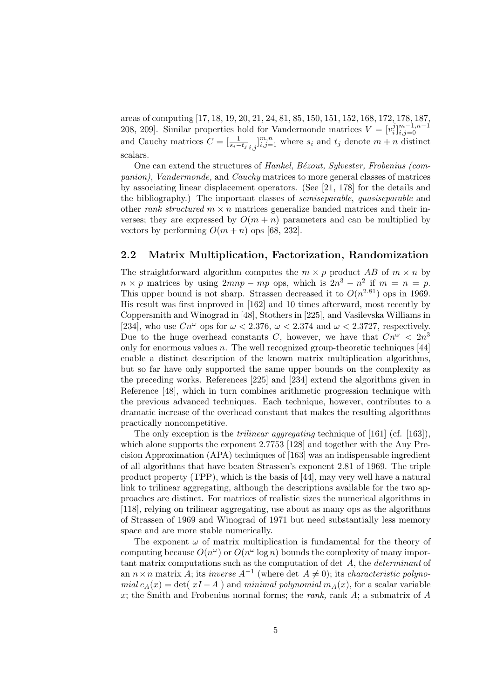areas of computing [17, 18, 19, 20, 21, 24, 81, 85, 150, 151, 152, 168, 172, 178, 187, 208, 209]. Similar properties hold for Vandermonde matrices  $V = [v_i^j]_{i=1}^{m-1,n-1}$ 200, 203]. Similar properties note for vandermonde matrices  $V = [v_i]_{i,j=0}$ <br>and Cauchy matrices  $C = [\frac{1}{s_i - t_j}]_{i,j=1}^{m,n}$  where  $s_i$  and  $t_j$  denote  $m + n$  distinct scalars.

One can extend the structures of Hankel, Bézout, Sylvester, Frobenius (companion), Vandermonde, and Cauchy matrices to more general classes of matrices by associating linear displacement operators. (See [21, 178] for the details and the bibliography.) The important classes of semiseparable, quasiseparable and other rank structured  $m \times n$  matrices generalize banded matrices and their inverses; they are expressed by  $O(m + n)$  parameters and can be multiplied by vectors by performing  $O(m+n)$  ops [68, 232].

#### 2.2 Matrix Multiplication, Factorization, Randomization

The straightforward algorithm computes the  $m \times p$  product AB of  $m \times n$  by  $n \times p$  matrices by using  $2mnp - mp$  ops, which is  $2n^3 - n^2$  if  $m = n = p$ . This upper bound is not sharp. Strassen decreased it to  $O(n^{2.81})$  ops in 1969. His result was first improved in [162] and 10 times afterward, most recently by Coppersmith and Winograd in [48], Stothers in [225], and Vasilevska Williams in [234], who use  $Cn^{\omega}$  ops for  $\omega < 2.376$ ,  $\omega < 2.374$  and  $\omega < 2.3727$ , respectively. Due to the huge overhead constants C, however, we have that  $C_n^{\omega} < 2n^3$ only for enormous values  $n$ . The well recognized group-theoretic techniques [44] enable a distinct description of the known matrix multiplication algorithms, but so far have only supported the same upper bounds on the complexity as the preceding works. References [225] and [234] extend the algorithms given in Reference [48], which in turn combines arithmetic progression technique with the previous advanced techniques. Each technique, however, contributes to a dramatic increase of the overhead constant that makes the resulting algorithms practically noncompetitive.

The only exception is the *trilinear aggregating* technique of [161] (cf. [163]), which alone supports the exponent 2.7753 [128] and together with the Any Precision Approximation (APA) techniques of [163] was an indispensable ingredient of all algorithms that have beaten Strassen's exponent 2.81 of 1969. The triple product property (TPP), which is the basis of [44], may very well have a natural link to trilinear aggregating, although the descriptions available for the two approaches are distinct. For matrices of realistic sizes the numerical algorithms in [118], relying on trilinear aggregating, use about as many ops as the algorithms of Strassen of 1969 and Winograd of 1971 but need substantially less memory space and are more stable numerically.

The exponent  $\omega$  of matrix multiplication is fundamental for the theory of computing because  $O(n^{\omega})$  or  $O(n^{\omega} \log n)$  bounds the complexity of many important matrix computations such as the computation of det A, the determinant of an  $n \times n$  matrix A; its *inverse*  $A^{-1}$  (where det  $A \neq 0$ ); its *characteristic polyno*mial  $c_A(x) = \det(xI - A)$  and minimal polynomial  $m_A(x)$ , for a scalar variable x; the Smith and Frobenius normal forms; the *rank*, rank  $A$ ; a submatrix of  $A$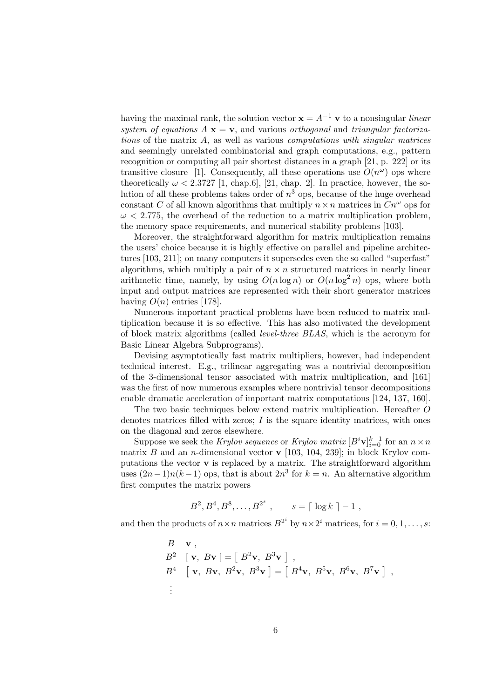having the maximal rank, the solution vector  $\mathbf{x} = A^{-1} \mathbf{v}$  to a nonsingular linear system of equations  $A \mathbf{x} = \mathbf{v}$ , and various orthogonal and triangular factorizations of the matrix A, as well as various computations with singular matrices and seemingly unrelated combinatorial and graph computations, e.g., pattern recognition or computing all pair shortest distances in a graph [21, p. 222] or its transitive closure [1]. Consequently, all these operations use  $O(n^{\omega})$  ops where theoretically  $\omega < 2.3727$  [1, chap.6], [21, chap. 2]. In practice, however, the solution of all these problems takes order of  $n^3$  ops, because of the huge overhead constant C of all known algorithms that multiply  $n \times n$  matrices in  $Cn^{\omega}$  ops for  $\omega$  < 2.775, the overhead of the reduction to a matrix multiplication problem, the memory space requirements, and numerical stability problems [103].

Moreover, the straightforward algorithm for matrix multiplication remains the users' choice because it is highly effective on parallel and pipeline architectures [103, 211]; on many computers it supersedes even the so called "superfast" algorithms, which multiply a pair of  $n \times n$  structured matrices in nearly linear arithmetic time, namely, by using  $O(n \log n)$  or  $O(n \log^2 n)$  ops, where both input and output matrices are represented with their short generator matrices having  $O(n)$  entries [178].

Numerous important practical problems have been reduced to matrix multiplication because it is so effective. This has also motivated the development of block matrix algorithms (called level-three BLAS, which is the acronym for Basic Linear Algebra Subprograms).

Devising asymptotically fast matrix multipliers, however, had independent technical interest. E.g., trilinear aggregating was a nontrivial decomposition of the 3-dimensional tensor associated with matrix multiplication, and [161] was the first of now numerous examples where nontrivial tensor decompositions enable dramatic acceleration of important matrix computations [124, 137, 160].

The two basic techniques below extend matrix multiplication. Hereafter O denotes matrices filled with zeros;  $I$  is the square identity matrices, with ones on the diagonal and zeros elsewhere.

Suppose we seek the *Krylov sequence* or *Krylov matrix*  $[B^i \mathbf{v}]_{i=0}^{k-1}$  for an  $n \times n$ matrix  $B$  and an *n*-dimensional vector  $\bf{v}$  [103, 104, 239]; in block Krylov computations the vector v is replaced by a matrix. The straightforward algorithm uses  $(2n-1)n(k-1)$  ops, that is about  $2n<sup>3</sup>$  for  $k = n$ . An alternative algorithm first computes the matrix powers

$$
B^2, B^4, B^8, \ldots, B^{2^s}, \qquad s = \lceil \log k \rceil - 1
$$

and then the products of  $n \times n$  matrices  $B^{2^i}$  by  $n \times 2^i$  matrices, for  $i = 0, 1, ..., s$ :

$$
\begin{aligned}\nB \quad & \mathbf{v} \ , \\
B^2 \quad & [\mathbf{v}, B\mathbf{v}] = [\ B^2 \mathbf{v}, B^3 \mathbf{v}] \ , \\
B^4 \quad & [\mathbf{v}, B\mathbf{v}, B^2 \mathbf{v}, B^3 \mathbf{v}] = [\ B^4 \mathbf{v}, B^5 \mathbf{v}, B^6 \mathbf{v}, B^7 \mathbf{v}] \ , \\
& \vdots\n\end{aligned}
$$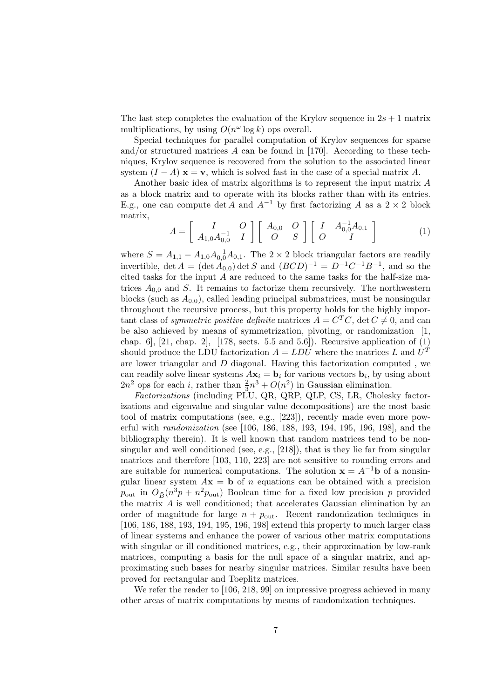The last step completes the evaluation of the Krylov sequence in  $2s + 1$  matrix multiplications, by using  $O(n^{\omega} \log k)$  ops overall.

Special techniques for parallel computation of Krylov sequences for sparse and/or structured matrices A can be found in [170]. According to these techniques, Krylov sequence is recovered from the solution to the associated linear system  $(I - A) \times = \mathbf{v}$ , which is solved fast in the case of a special matrix A.

Another basic idea of matrix algorithms is to represent the input matrix A as a block matrix and to operate with its blocks rather than with its entries. E.g., one can compute det A and  $A^{-1}$  by first factorizing A as a 2 × 2 block matrix,

$$
A = \left[ \begin{array}{cc} I & O \\ A_{1,0} A_{0,0}^{-1} & I \end{array} \right] \left[ \begin{array}{cc} A_{0,0} & O \\ O & S \end{array} \right] \left[ \begin{array}{cc} I & A_{0,0}^{-1} A_{0,1} \\ O & I \end{array} \right] \tag{1}
$$

where  $S = A_{1,1} - A_{1,0}A_{0,0}^{-1}A_{0,1}$ . The 2 × 2 block triangular factors are readily invertible,  $\det A = (\det A_{0,0}) \det S$  and  $(BCD)^{-1} = D^{-1}C^{-1}B^{-1}$ , and so the cited tasks for the input A are reduced to the same tasks for the half-size matrices  $A_{0,0}$  and S. It remains to factorize them recursively. The northwestern blocks (such as  $A_{0,0}$ ), called leading principal submatrices, must be nonsingular throughout the recursive process, but this property holds for the highly important class of *symmetric positive definite* matrices  $A = C<sup>T</sup>C$ , det  $C \neq 0$ , and can be also achieved by means of symmetrization, pivoting, or randomization [1, chap. 6,  $[21, \text{chap. } 2]$ ,  $[178, \text{sects. } 5.5 \text{ and } 5.6]$ . Recursive application of  $(1)$ should produce the LDU factorization  $A = LDU$  where the matrices L and  $U<sup>T</sup>$ are lower triangular and D diagonal. Having this factorization computed , we can readily solve linear systems  $A\mathbf{x}_i = \mathbf{b}_i$  for various vectors  $\mathbf{b}_i$ , by using about  $2n^2$  ops for each *i*, rather than  $\frac{2}{3}n^3 + O(n^2)$  in Gaussian elimination.

Factorizations (including PLU, QR, QRP, QLP, CS, LR, Cholesky factorizations and eigenvalue and singular value decompositions) are the most basic tool of matrix computations (see, e.g., [223]), recently made even more powerful with randomization (see [106, 186, 188, 193, 194, 195, 196, 198], and the bibliography therein). It is well known that random matrices tend to be nonsingular and well conditioned (see, e.g., [218]), that is they lie far from singular matrices and therefore [103, 110, 223] are not sensitive to rounding errors and are suitable for numerical computations. The solution  $\mathbf{x} = A^{-1}\mathbf{b}$  of a nonsingular linear system  $A\mathbf{x} = \mathbf{b}$  of n equations can be obtained with a precision  $p_{\text{out}}$  in  $O_{\tilde{B}}(n^3p + n^2p_{\text{out}})$  Boolean time for a fixed low precision p provided the matrix A is well conditioned; that accelerates Gaussian elimination by an order of magnitude for large  $n + p_{\text{out}}$ . Recent randomization techniques in [106, 186, 188, 193, 194, 195, 196, 198] extend this property to much larger class of linear systems and enhance the power of various other matrix computations with singular or ill conditioned matrices, e.g., their approximation by low-rank matrices, computing a basis for the null space of a singular matrix, and approximating such bases for nearby singular matrices. Similar results have been proved for rectangular and Toeplitz matrices.

We refer the reader to [106, 218, 99] on impressive progress achieved in many other areas of matrix computations by means of randomization techniques.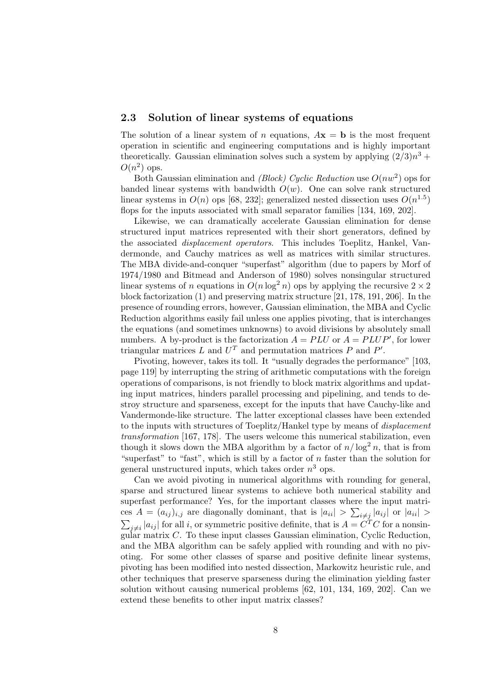#### 2.3 Solution of linear systems of equations

The solution of a linear system of n equations,  $A\mathbf{x} = \mathbf{b}$  is the most frequent operation in scientific and engineering computations and is highly important theoretically. Gaussian elimination solves such a system by applying  $(2/3)n^3$  +  $O(n^2)$  ops.

Both Gaussian elimination and *(Block)* Cyclic Reduction use  $O(nw^2)$  ops for banded linear systems with bandwidth  $O(w)$ . One can solve rank structured linear systems in  $O(n)$  ops [68, 232]; generalized nested dissection uses  $O(n^{1.5})$ flops for the inputs associated with small separator families [134, 169, 202].

Likewise, we can dramatically accelerate Gaussian elimination for dense structured input matrices represented with their short generators, defined by the associated displacement operators. This includes Toeplitz, Hankel, Vandermonde, and Cauchy matrices as well as matrices with similar structures. The MBA divide-and-conquer "superfast" algorithm (due to papers by Morf of 1974/1980 and Bitmead and Anderson of 1980) solves nonsingular structured linear systems of n equations in  $O(n \log^2 n)$  ops by applying the recursive  $2 \times 2$ block factorization (1) and preserving matrix structure [21, 178, 191, 206]. In the presence of rounding errors, however, Gaussian elimination, the MBA and Cyclic Reduction algorithms easily fail unless one applies pivoting, that is interchanges the equations (and sometimes unknowns) to avoid divisions by absolutely small numbers. A by-product is the factorization  $A = PLU$  or  $A = PLUP'$ , for lower triangular matrices L and  $U<sup>T</sup>$  and permutation matrices P and P'.

Pivoting, however, takes its toll. It "usually degrades the performance" [103, page 119] by interrupting the string of arithmetic computations with the foreign operations of comparisons, is not friendly to block matrix algorithms and updating input matrices, hinders parallel processing and pipelining, and tends to destroy structure and sparseness, except for the inputs that have Cauchy-like and Vandermonde-like structure. The latter exceptional classes have been extended to the inputs with structures of Toeplitz/Hankel type by means of displacement transformation [167, 178]. The users welcome this numerical stabilization, even though it slows down the MBA algorithm by a factor of  $n/\log^2 n$ , that is from "superfast" to "fast", which is still by a factor of  $n$  faster than the solution for general unstructured inputs, which takes order  $n^3$  ops.

Can we avoid pivoting in numerical algorithms with rounding for general, sparse and structured linear systems to achieve both numerical stability and superfast performance? Yes, for the important classes where the input matrices  $A = (a_{ij})_{i,j}$  are diagonally dominant, that is  $|a_{ii}| > \sum_{i \neq j} |a_{ij}|$  or  $|a_{ii}| >$  $\sum_{j\neq i} |a_{ij}|$  for all i, or symmetric positive definite, that is  $A = C^T C$  for a nonsingular matrix  $C$ . To these input classes Gaussian elimination, Cyclic Reduction, and the MBA algorithm can be safely applied with rounding and with no pivoting. For some other classes of sparse and positive definite linear systems, pivoting has been modified into nested dissection, Markowitz heuristic rule, and other techniques that preserve sparseness during the elimination yielding faster solution without causing numerical problems [62, 101, 134, 169, 202]. Can we extend these benefits to other input matrix classes?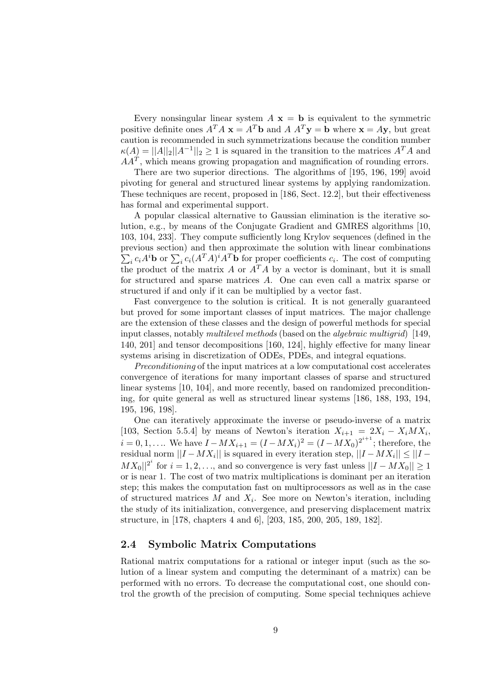Every nonsingular linear system  $A \times = \mathbf{b}$  is equivalent to the symmetric positive definite ones  $A^T A \mathbf{x} = A^T \mathbf{b}$  and  $A A^T \mathbf{y} = \mathbf{b}$  where  $\mathbf{x} = A\mathbf{y}$ , but great caution is recommended in such symmetrizations because the condition number  $\kappa(A) = ||A||_2 ||A^{-1}||_2 \ge 1$  is squared in the transition to the matrices  $A^T A$  and  $AA<sup>T</sup>$ , which means growing propagation and magnification of rounding errors.

There are two superior directions. The algorithms of [195, 196, 199] avoid pivoting for general and structured linear systems by applying randomization. These techniques are recent, proposed in [186, Sect. 12.2], but their effectiveness has formal and experimental support.

A popular classical alternative to Gaussian elimination is the iterative solution, e.g., by means of the Conjugate Gradient and GMRES algorithms [10, 103, 104, 233]. They compute sufficiently long Krylov sequences (defined in the previous section) and then approximate the solution with linear combinations  $\sum_i c_i A^i$ **b** or  $\sum_i c_i (A^T A)^i A^T$ **b** for proper coefficients  $c_i$ . The cost of computing the product of the matrix A or  $A<sup>T</sup>A$  by a vector is dominant, but it is small for structured and sparse matrices A. One can even call a matrix sparse or structured if and only if it can be multiplied by a vector fast.

Fast convergence to the solution is critical. It is not generally guaranteed but proved for some important classes of input matrices. The major challenge are the extension of these classes and the design of powerful methods for special input classes, notably multilevel methods (based on the algebraic multigrid) [149, 140, 201] and tensor decompositions [160, 124], highly effective for many linear systems arising in discretization of ODEs, PDEs, and integral equations.

Preconditioning of the input matrices at a low computational cost accelerates convergence of iterations for many important classes of sparse and structured linear systems [10, 104], and more recently, based on randomized preconditioning, for quite general as well as structured linear systems [186, 188, 193, 194, 195, 196, 198].

One can iteratively approximate the inverse or pseudo-inverse of a matrix [103, Section 5.5.4] by means of Newton's iteration  $X_{i+1} = 2X_i - X_i M X_i$ ,  $i = 0, 1, \ldots$  We have  $I - MX_{i+1} = (I - MX_i)^2 = (I - MX_0)^{2^{i+1}}$ ; therefore, the residual norm  $||I - MX_i||$  is squared in every iteration step,  $||I - MX_i|| \le ||I |MX_0||^{2^i}$  for  $i = 1, 2, ...,$  and so convergence is very fast unless  $||I - MX_0|| \ge 1$ or is near 1. The cost of two matrix multiplications is dominant per an iteration step; this makes the computation fast on multiprocessors as well as in the case of structured matrices  $M$  and  $X_i$ . See more on Newton's iteration, including the study of its initialization, convergence, and preserving displacement matrix structure, in [178, chapters 4 and 6], [203, 185, 200, 205, 189, 182].

#### 2.4 Symbolic Matrix Computations

Rational matrix computations for a rational or integer input (such as the solution of a linear system and computing the determinant of a matrix) can be performed with no errors. To decrease the computational cost, one should control the growth of the precision of computing. Some special techniques achieve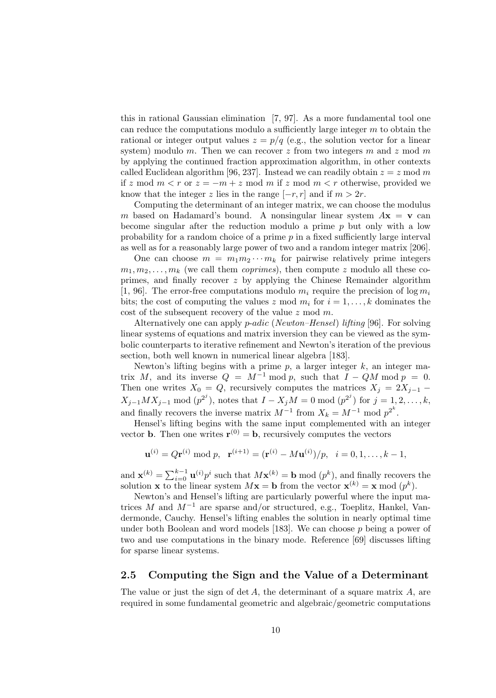this in rational Gaussian elimination [7, 97]. As a more fundamental tool one can reduce the computations modulo a sufficiently large integer  $m$  to obtain the rational or integer output values  $z = p/q$  (e.g., the solution vector for a linear system) modulo m. Then we can recover z from two integers m and z mod m by applying the continued fraction approximation algorithm, in other contexts called Euclidean algorithm [96, 237]. Instead we can readily obtain  $z = z \mod m$ if z mod  $m < r$  or  $z = -m + z$  mod m if z mod  $m < r$  otherwise, provided we know that the integer z lies in the range  $[-r, r]$  and if  $m > 2r$ .

Computing the determinant of an integer matrix, we can choose the modulus m based on Hadamard's bound. A nonsingular linear system  $A\mathbf{x} = \mathbf{v}$  can become singular after the reduction modulo a prime  $p$  but only with a low probability for a random choice of a prime p in a fixed sufficiently large interval as well as for a reasonably large power of two and a random integer matrix [206].

One can choose  $m = m_1 m_2 \cdots m_k$  for pairwise relatively prime integers  $m_1, m_2, \ldots, m_k$  (we call them *coprimes*), then compute z modulo all these coprimes, and finally recover  $z$  by applying the Chinese Remainder algorithm [1, 96]. The error-free computations modulo  $m_i$  require the precision of log  $m_i$ bits; the cost of computing the values z mod  $m_i$  for  $i = 1, \ldots, k$  dominates the cost of the subsequent recovery of the value z mod m.

Alternatively one can apply  $p\text{-}adic$  (Newton–Hensel) lifting [96]. For solving linear systems of equations and matrix inversion they can be viewed as the symbolic counterparts to iterative refinement and Newton's iteration of the previous section, both well known in numerical linear algebra [183].

Newton's lifting begins with a prime  $p$ , a larger integer  $k$ , an integer matrix M, and its inverse  $Q = M^{-1} \mod p$ , such that  $\tilde{I} - QM \mod p = 0$ . Then one writes  $X_0 = Q$ , recursively computes the matrices  $X_j = 2X_{j-1}$  –  $X_{j-1}MX_{j-1} \mod (p^{2^j})$ , notes that  $I - X_jM = 0 \mod (p^{2^j})$  for  $j = 1, 2, ..., k$ , and finally recovers the inverse matrix  $M^{-1}$  from  $X_k = M^{-1}$  mod  $p^{2^k}$ .

Hensel's lifting begins with the same input complemented with an integer vector **b**. Then one writes  $\mathbf{r}^{(0)} = \mathbf{b}$ , recursively computes the vectors

$$
\mathbf{u}^{(i)} = Q\mathbf{r}^{(i)} \bmod p, \ \ \mathbf{r}^{(i+1)} = (\mathbf{r}^{(i)} - M\mathbf{u}^{(i)})/p, \ \ i = 0, 1, \dots, k-1,
$$

and  $\mathbf{x}^{(k)} = \sum_{i=0}^{k-1} \mathbf{u}^{(i)} p^i$  such that  $M\mathbf{x}^{(k)} = \mathbf{b} \mod (p^k)$ , and finally recovers the solution **x** to the linear system  $Mx = b$  from the vector  $x^{(k)} = x \mod (p^k)$ .

Newton's and Hensel's lifting are particularly powerful where the input matrices M and  $M^{-1}$  are sparse and/or structured, e.g., Toeplitz, Hankel, Vandermonde, Cauchy. Hensel's lifting enables the solution in nearly optimal time under both Boolean and word models  $[183]$ . We can choose p being a power of two and use computations in the binary mode. Reference [69] discusses lifting for sparse linear systems.

#### 2.5 Computing the Sign and the Value of a Determinant

The value or just the sign of  $\det A$ , the determinant of a square matrix  $A$ , are required in some fundamental geometric and algebraic/geometric computations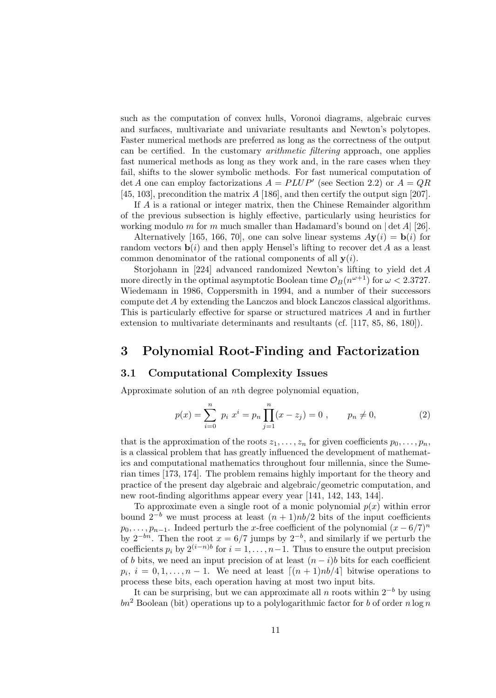such as the computation of convex hulls, Voronoi diagrams, algebraic curves and surfaces, multivariate and univariate resultants and Newton's polytopes. Faster numerical methods are preferred as long as the correctness of the output can be certified. In the customary arithmetic filtering approach, one applies fast numerical methods as long as they work and, in the rare cases when they fail, shifts to the slower symbolic methods. For fast numerical computation of det A one can employ factorizations  $A = PLUP'$  (see Section 2.2) or  $A = QR$ [45, 103], precondition the matrix A [186], and then certify the output sign [207].

If A is a rational or integer matrix, then the Chinese Remainder algorithm of the previous subsection is highly effective, particularly using heuristics for working modulo m for m much smaller than Hadamard's bound on  $|\det A|$  [26].

Alternatively [165, 166, 70], one can solve linear systems  $Ay(i) = b(i)$  for random vectors  $\mathbf{b}(i)$  and then apply Hensel's lifting to recover det A as a least common denominator of the rational components of all  $y(i)$ .

Storjohann in [224] advanced randomized Newton's lifting to yield det A more directly in the optimal asymptotic Boolean time  $\mathcal{O}_B(n^{\omega+1})$  for  $\omega < 2.3727$ . Wiedemann in 1986, Coppersmith in 1994, and a number of their successors compute det A by extending the Lanczos and block Lanczos classical algorithms. This is particularly effective for sparse or structured matrices A and in further extension to multivariate determinants and resultants (cf. [117, 85, 86, 180]).

## 3 Polynomial Root-Finding and Factorization

#### 3.1 Computational Complexity Issues

Approximate solution of an nth degree polynomial equation,

$$
p(x) = \sum_{i=0}^{n} p_i x^{i} = p_n \prod_{j=1}^{n} (x - z_j) = 0 , \qquad p_n \neq 0,
$$
 (2)

that is the approximation of the roots  $z_1, \ldots, z_n$  for given coefficients  $p_0, \ldots, p_n$ , is a classical problem that has greatly influenced the development of mathematics and computational mathematics throughout four millennia, since the Sumerian times [173, 174]. The problem remains highly important for the theory and practice of the present day algebraic and algebraic/geometric computation, and new root-finding algorithms appear every year [141, 142, 143, 144].

To approximate even a single root of a monic polynomial  $p(x)$  within error bound  $2^{-b}$  we must process at least  $(n + 1)nb/2$  bits of the input coefficients  $p_0, \ldots, p_{n-1}$ . Indeed perturb the x-free coefficient of the polynomial  $(x - 6/7)^n$ by  $2^{-bn}$ . Then the root  $x = 6/7$  jumps by  $2^{-b}$ , and similarly if we perturb the coefficients  $p_i$  by  $2^{(i-n)b}$  for  $i = 1, ..., n-1$ . Thus to ensure the output precision of b bits, we need an input precision of at least  $(n-i)b$  bits for each coefficient  $p_i, i = 0, 1, \ldots, n - 1$ . We need at least  $\lceil (n + 1)nb/4 \rceil$  bitwise operations to process these bits, each operation having at most two input bits.

It can be surprising, but we can approximate all n roots within  $2^{-b}$  by using  $bn^2$  Boolean (bit) operations up to a polylogarithmic factor for b of order n log n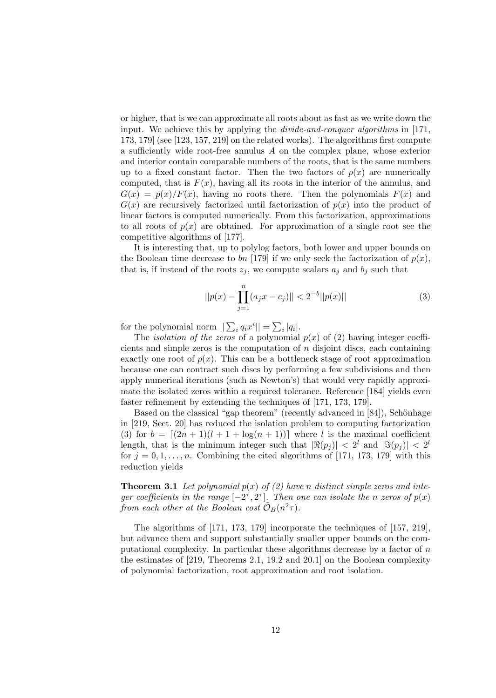or higher, that is we can approximate all roots about as fast as we write down the input. We achieve this by applying the divide-and-conquer algorithms in [171, 173, 179] (see [123, 157, 219] on the related works). The algorithms first compute a sufficiently wide root-free annulus A on the complex plane, whose exterior and interior contain comparable numbers of the roots, that is the same numbers up to a fixed constant factor. Then the two factors of  $p(x)$  are numerically computed, that is  $F(x)$ , having all its roots in the interior of the annulus, and  $G(x) = p(x)/F(x)$ , having no roots there. Then the polynomials  $F(x)$  and  $G(x)$  are recursively factorized until factorization of  $p(x)$  into the product of linear factors is computed numerically. From this factorization, approximations to all roots of  $p(x)$  are obtained. For approximation of a single root see the competitive algorithms of [177].

It is interesting that, up to polylog factors, both lower and upper bounds on the Boolean time decrease to bn [179] if we only seek the factorization of  $p(x)$ , that is, if instead of the roots  $z_j$ , we compute scalars  $a_j$  and  $b_j$  such that

$$
||p(x) - \prod_{j=1}^{n} (a_j x - c_j)|| < 2^{-b} ||p(x)|| \tag{3}
$$

for the polynomial norm  $||\sum_i q_i x^i|| = \sum_i |q_i|.$ 

The *isolation of the zeros* of a polynomial  $p(x)$  of (2) having integer coefficients and simple zeros is the computation of  $n$  disjoint discs, each containing exactly one root of  $p(x)$ . This can be a bottleneck stage of root approximation because one can contract such discs by performing a few subdivisions and then apply numerical iterations (such as Newton's) that would very rapidly approximate the isolated zeros within a required tolerance. Reference [184] yields even faster refinement by extending the techniques of [171, 173, 179].

Based on the classical "gap theorem" (recently advanced in [84]), Schönhage in [219, Sect. 20] has reduced the isolation problem to computing factorization (3) for  $b = \lfloor (2n + 1)(l + 1 + \log(n + 1)) \rfloor$  where l is the maximal coefficient length, that is the minimum integer such that  $|\Re(p_j)| < 2^l$  and  $|\Im(p_j)| < 2^l$ for  $j = 0, 1, \ldots, n$ . Combining the cited algorithms of [171, 173, 179] with this reduction yields

**Theorem 3.1** Let polynomial  $p(x)$  of (2) have n distinct simple zeros and integer coefficients in the range  $[-2^{\tau}, 2^{\tau}]$ . Then one can isolate the n zeros of  $p(x)$ from each other at the Boolean cost  $\tilde{\mathcal{O}}_{B}(n^2\tau)$ .

The algorithms of [171, 173, 179] incorporate the techniques of [157, 219], but advance them and support substantially smaller upper bounds on the computational complexity. In particular these algorithms decrease by a factor of  $n$ the estimates of [219, Theorems 2.1, 19.2 and 20.1] on the Boolean complexity of polynomial factorization, root approximation and root isolation.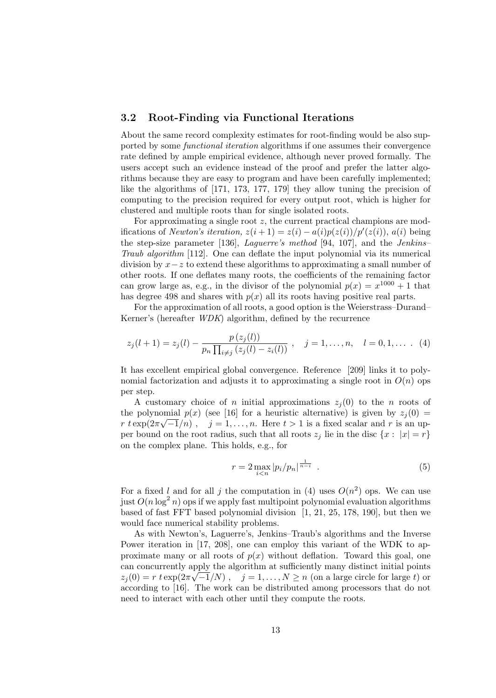#### 3.2 Root-Finding via Functional Iterations

About the same record complexity estimates for root-finding would be also supported by some functional iteration algorithms if one assumes their convergence rate defined by ample empirical evidence, although never proved formally. The users accept such an evidence instead of the proof and prefer the latter algorithms because they are easy to program and have been carefully implemented; like the algorithms of [171, 173, 177, 179] they allow tuning the precision of computing to the precision required for every output root, which is higher for clustered and multiple roots than for single isolated roots.

For approximating a single root  $z$ , the current practical champions are modifications of *Newton's iteration*,  $z(i+1) = z(i) - a(i)p(z(i))/p'(z(i))$ ,  $a(i)$  being the step-size parameter [136], Laguerre's method [94, 107], and the Jenkins– Traub algorithm [112]. One can deflate the input polynomial via its numerical division by  $x-z$  to extend these algorithms to approximating a small number of other roots. If one deflates many roots, the coefficients of the remaining factor can grow large as, e.g., in the divisor of the polynomial  $p(x) = x^{1000} + 1$  that has degree 498 and shares with  $p(x)$  all its roots having positive real parts.

For the approximation of all roots, a good option is the Weierstrass–Durand– Kerner's (hereafter WDK) algorithm, defined by the recurrence

$$
z_j(l+1) = z_j(l) - \frac{p(z_j(l))}{p_n \prod_{i \neq j} (z_j(l) - z_i(l))}, \quad j = 1, ..., n, \quad l = 0, 1, .... \quad (4)
$$

It has excellent empirical global convergence. Reference [209] links it to polynomial factorization and adjusts it to approximating a single root in  $O(n)$  ops per step.

A customary choice of n initial approximations  $z_i(0)$  to the n roots of the polynomial  $p(x)$  (see [16] for a heuristic alternative) is given by  $z_j(0) =$  $r \ t \exp(2\pi\sqrt{-1}/n)$ ,  $j = 1, ..., n$ . Here  $t > 1$  is a fixed scalar and r is an upper bound on the root radius, such that all roots  $z_j$  lie in the disc  $\{x : |x| = r\}$ on the complex plane. This holds, e.g., for

$$
r = 2 \max_{i < n} |p_i / p_n|^{\frac{1}{n-i}} \tag{5}
$$

For a fixed l and for all j the computation in (4) uses  $O(n^2)$  ops. We can use just  $O(n \log^2 n)$  ops if we apply fast multipoint polynomial evaluation algorithms based of fast FFT based polynomial division [1, 21, 25, 178, 190], but then we would face numerical stability problems.

As with Newton's, Laguerre's, Jenkins–Traub's algorithms and the Inverse Power iteration in [17, 208], one can employ this variant of the WDK to approximate many or all roots of  $p(x)$  without deflation. Toward this goal, one can concurrently apply the algorithm at sufficiently many distinct initial points  $z_j(0) = r \ t \exp(2\pi\sqrt{-1}/N)$ ,  $j = 1, ..., N \ge n$  (on a large circle for large t) or according to [16]. The work can be distributed among processors that do not need to interact with each other until they compute the roots.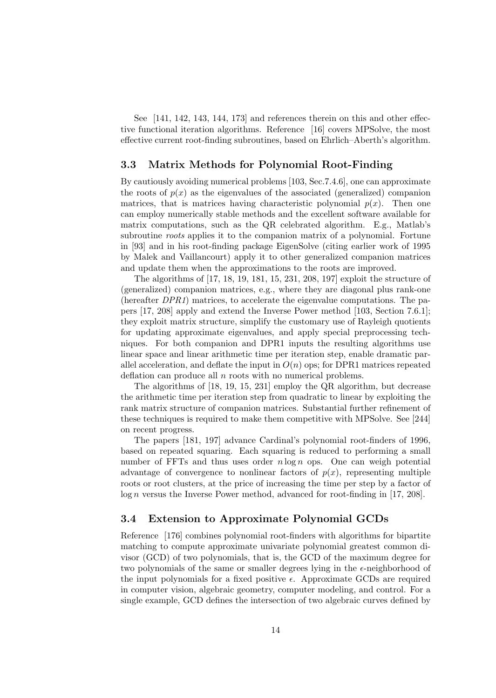See [141, 142, 143, 144, 173] and references therein on this and other effective functional iteration algorithms. Reference [16] covers MPSolve, the most effective current root-finding subroutines, based on Ehrlich–Aberth's algorithm.

#### 3.3 Matrix Methods for Polynomial Root-Finding

By cautiously avoiding numerical problems [103, Sec.7.4.6], one can approximate the roots of  $p(x)$  as the eigenvalues of the associated (generalized) companion matrices, that is matrices having characteristic polynomial  $p(x)$ . Then one can employ numerically stable methods and the excellent software available for matrix computations, such as the QR celebrated algorithm. E.g., Matlab's subroutine *roots* applies it to the companion matrix of a polynomial. Fortune in [93] and in his root-finding package EigenSolve (citing earlier work of 1995 by Malek and Vaillancourt) apply it to other generalized companion matrices and update them when the approximations to the roots are improved.

The algorithms of [17, 18, 19, 181, 15, 231, 208, 197] exploit the structure of (generalized) companion matrices, e.g., where they are diagonal plus rank-one (hereafter DPR1) matrices, to accelerate the eigenvalue computations. The papers [17, 208] apply and extend the Inverse Power method [103, Section 7.6.1]; they exploit matrix structure, simplify the customary use of Rayleigh quotients for updating approximate eigenvalues, and apply special preprocessing techniques. For both companion and DPR1 inputs the resulting algorithms use linear space and linear arithmetic time per iteration step, enable dramatic parallel acceleration, and deflate the input in  $O(n)$  ops; for DPR1 matrices repeated deflation can produce all  $n$  roots with no numerical problems.

The algorithms of [18, 19, 15, 231] employ the QR algorithm, but decrease the arithmetic time per iteration step from quadratic to linear by exploiting the rank matrix structure of companion matrices. Substantial further refinement of these techniques is required to make them competitive with MPSolve. See [244] on recent progress.

The papers [181, 197] advance Cardinal's polynomial root-finders of 1996, based on repeated squaring. Each squaring is reduced to performing a small number of FFTs and thus uses order  $n \log n$  ops. One can weigh potential advantage of convergence to nonlinear factors of  $p(x)$ , representing multiple roots or root clusters, at the price of increasing the time per step by a factor of  $log n$  versus the Inverse Power method, advanced for root-finding in [17, 208].

#### 3.4 Extension to Approximate Polynomial GCDs

Reference [176] combines polynomial root-finders with algorithms for bipartite matching to compute approximate univariate polynomial greatest common divisor (GCD) of two polynomials, that is, the GCD of the maximum degree for two polynomials of the same or smaller degrees lying in the  $\epsilon$ -neighborhood of the input polynomials for a fixed positive  $\epsilon$ . Approximate GCDs are required in computer vision, algebraic geometry, computer modeling, and control. For a single example, GCD defines the intersection of two algebraic curves defined by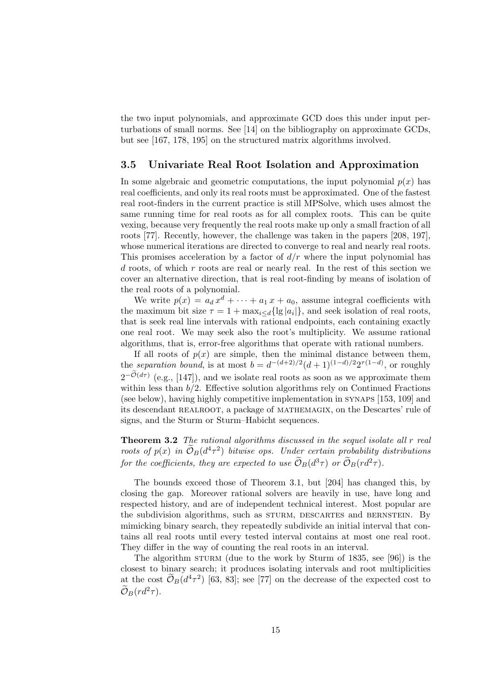the two input polynomials, and approximate GCD does this under input perturbations of small norms. See [14] on the bibliography on approximate GCDs, but see [167, 178, 195] on the structured matrix algorithms involved.

#### 3.5 Univariate Real Root Isolation and Approximation

In some algebraic and geometric computations, the input polynomial  $p(x)$  has real coefficients, and only its real roots must be approximated. One of the fastest real root-finders in the current practice is still MPSolve, which uses almost the same running time for real roots as for all complex roots. This can be quite vexing, because very frequently the real roots make up only a small fraction of all roots [77]. Recently, however, the challenge was taken in the papers [208, 197], whose numerical iterations are directed to converge to real and nearly real roots. This promises acceleration by a factor of  $d/r$  where the input polynomial has d roots, of which r roots are real or nearly real. In the rest of this section we cover an alternative direction, that is real root-finding by means of isolation of the real roots of a polynomial.

We write  $p(x) = a_d x^d + \cdots + a_1 x + a_0$ , assume integral coefficients with the maximum bit size  $\tau = 1 + \max_{i \le d} {\{\lg |a_i|\}}$ , and seek isolation of real roots, that is seek real line intervals with rational endpoints, each containing exactly one real root. We may seek also the root's multiplicity. We assume rational algorithms, that is, error-free algorithms that operate with rational numbers.

If all roots of  $p(x)$  are simple, then the minimal distance between them, the separation bound, is at most  $b = d^{-(d+2)/2} (d+1)^{(1-d)/2} 2^{\tau(1-d)}$ , or roughly  $2^{-\mathcal{O}(d\tau)}$  (e.g., [147]), and we isolate real roots as soon as we approximate them within less than  $b/2$ . Effective solution algorithms rely on Continued Fractions (see below), having highly competitive implementation in synaps [153, 109] and its descendant realroot, a package of mathemagix, on the Descartes' rule of signs, and the Sturm or Sturm–Habicht sequences.

Theorem 3.2 The rational algorithms discussed in the sequel isolate all r real roots of  $p(x)$  in  $\widetilde{\mathcal{O}}_B(d^4\tau^2)$  bitwise ops. Under certain probability distributions for the coefficients, they are expected to use  $\widetilde{\mathcal{O}}_B(d^3\tau)$  or  $\widetilde{\mathcal{O}}_B(r d^2\tau)$ .

The bounds exceed those of Theorem 3.1, but [204] has changed this, by closing the gap. Moreover rational solvers are heavily in use, have long and respected history, and are of independent technical interest. Most popular are the subdivision algorithms, such as STURM, DESCARTES and BERNSTEIN. By mimicking binary search, they repeatedly subdivide an initial interval that contains all real roots until every tested interval contains at most one real root. They differ in the way of counting the real roots in an interval.

The algorithm sturm (due to the work by Sturm of 1835, see [96]) is the closest to binary search; it produces isolating intervals and root multiplicities at the cost  $\tilde{\mathcal{O}}_B(d^4\tau^2)$  [63, 83]; see [77] on the decrease of the expected cost to  $\mathcal{\tilde{O}}_B(r d^2 \tau).$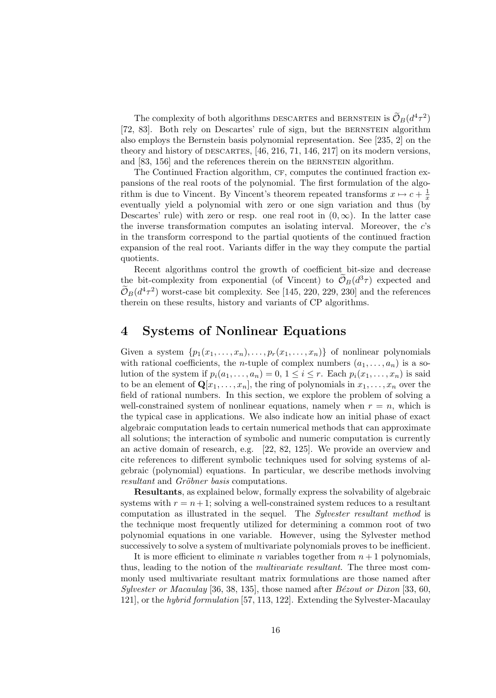The complexity of both algorithms DESCARTES and BERNSTEIN is  $\widetilde{\mathcal{O}}_B(d^4\tau^2)$ [72, 83]. Both rely on Descartes' rule of sign, but the BERNSTEIN algorithm also employs the Bernstein basis polynomial representation. See [235, 2] on the theory and history of DESCARTES,  $[46, 216, 71, 146, 217]$  on its modern versions, and [83, 156] and the references therein on the BERNSTEIN algorithm.

The Continued Fraction algorithm, CF, computes the continued fraction expansions of the real roots of the polynomial. The first formulation of the algorithm is due to Vincent. By Vincent's theorem repeated transforms  $x \mapsto c + \frac{1}{x}$ eventually yield a polynomial with zero or one sign variation and thus (by Descartes' rule) with zero or resp. one real root in  $(0, \infty)$ . In the latter case the inverse transformation computes an isolating interval. Moreover, the c's in the transform correspond to the partial quotients of the continued fraction expansion of the real root. Variants differ in the way they compute the partial quotients.

Recent algorithms control the growth of coefficient bit-size and decrease the bit-complexity from exponential (of Vincent) to  $\mathcal{O}_B(d^3\tau)$  expected and  $\mathcal{O}_B(d^4\tau^2)$  worst-case bit complexity. See [145, 220, 229, 230] and the references therein on these results, history and variants of CP algorithms.

# 4 Systems of Nonlinear Equations

Given a system  $\{p_1(x_1, \ldots, x_n), \ldots, p_r(x_1, \ldots, x_n)\}\$  of nonlinear polynomials with rational coefficients, the *n*-tuple of complex numbers  $(a_1, \ldots, a_n)$  is a solution of the system if  $p_i(a_1, \ldots, a_n) = 0, 1 \leq i \leq r$ . Each  $p_i(x_1, \ldots, x_n)$  is said to be an element of  $\mathbf{Q}[x_1, \ldots, x_n]$ , the ring of polynomials in  $x_1, \ldots, x_n$  over the field of rational numbers. In this section, we explore the problem of solving a well-constrained system of nonlinear equations, namely when  $r = n$ , which is the typical case in applications. We also indicate how an initial phase of exact algebraic computation leads to certain numerical methods that can approximate all solutions; the interaction of symbolic and numeric computation is currently an active domain of research, e.g. [22, 82, 125]. We provide an overview and cite references to different symbolic techniques used for solving systems of algebraic (polynomial) equations. In particular, we describe methods involving resultant and Gröbner basis computations.

Resultants, as explained below, formally express the solvability of algebraic systems with  $r = n + 1$ ; solving a well-constrained system reduces to a resultant computation as illustrated in the sequel. The Sylvester resultant method is the technique most frequently utilized for determining a common root of two polynomial equations in one variable. However, using the Sylvester method successively to solve a system of multivariate polynomials proves to be inefficient.

It is more efficient to eliminate *n* variables together from  $n+1$  polynomials, thus, leading to the notion of the multivariate resultant. The three most commonly used multivariate resultant matrix formulations are those named after Sylvester or Macaulay [36, 38, 135], those named after  $B\acute{e}zout$  or Dixon [33, 60, 121], or the hybrid formulation [57, 113, 122]. Extending the Sylvester-Macaulay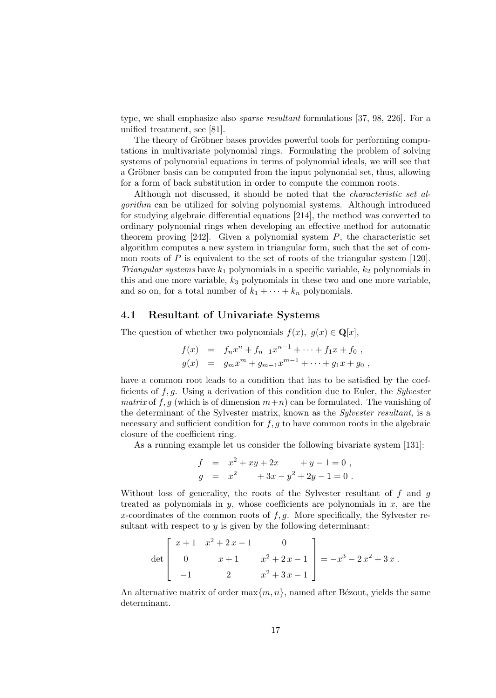type, we shall emphasize also sparse resultant formulations [37, 98, 226]. For a unified treatment, see [81].

The theory of Gröbner bases provides powerful tools for performing computations in multivariate polynomial rings. Formulating the problem of solving systems of polynomial equations in terms of polynomial ideals, we will see that a Gröbner basis can be computed from the input polynomial set, thus, allowing for a form of back substitution in order to compute the common roots.

Although not discussed, it should be noted that the characteristic set algorithm can be utilized for solving polynomial systems. Although introduced for studying algebraic differential equations [214], the method was converted to ordinary polynomial rings when developing an effective method for automatic theorem proving  $[242]$ . Given a polynomial system  $P$ , the characteristic set algorithm computes a new system in triangular form, such that the set of common roots of  $P$  is equivalent to the set of roots of the triangular system [120]. Triangular systems have  $k_1$  polynomials in a specific variable,  $k_2$  polynomials in this and one more variable,  $k_3$  polynomials in these two and one more variable, and so on, for a total number of  $k_1 + \cdots + k_n$  polynomials.

#### 4.1 Resultant of Univariate Systems

The question of whether two polynomials  $f(x), g(x) \in \mathbf{Q}[x]$ ,

$$
f(x) = f_n x^n + f_{n-1} x^{n-1} + \dots + f_1 x + f_0,
$$
  
\n
$$
g(x) = g_m x^m + g_{m-1} x^{m-1} + \dots + g_1 x + g_0,
$$

have a common root leads to a condition that has to be satisfied by the coefficients of  $f, g$ . Using a derivation of this condition due to Euler, the *Sylvester matrix* of f, g (which is of dimension  $m+n$ ) can be formulated. The vanishing of the determinant of the Sylvester matrix, known as the Sylvester resultant, is a necessary and sufficient condition for  $f, g$  to have common roots in the algebraic closure of the coefficient ring.

As a running example let us consider the following bivariate system [131]:

$$
f = x2 + xy + 2x + y - 1 = 0,
$$
  
\n
$$
g = x2 + 3x - y2 + 2y - 1 = 0.
$$

Without loss of generality, the roots of the Sylvester resultant of  $f$  and  $g$ treated as polynomials in  $y$ , whose coefficients are polynomials in  $x$ , are the x-coordinates of the common roots of  $f, g$ . More specifically, the Sylvester resultant with respect to  $y$  is given by the following determinant:

$$
\det \begin{bmatrix} x+1 & x^2+2x-1 & 0 \\ 0 & x+1 & x^2+2x-1 \\ -1 & 2 & x^2+3x-1 \end{bmatrix} = -x^3 - 2x^2 + 3x.
$$

An alternative matrix of order  $\max\{m, n\}$ , named after Bézout, yields the same determinant.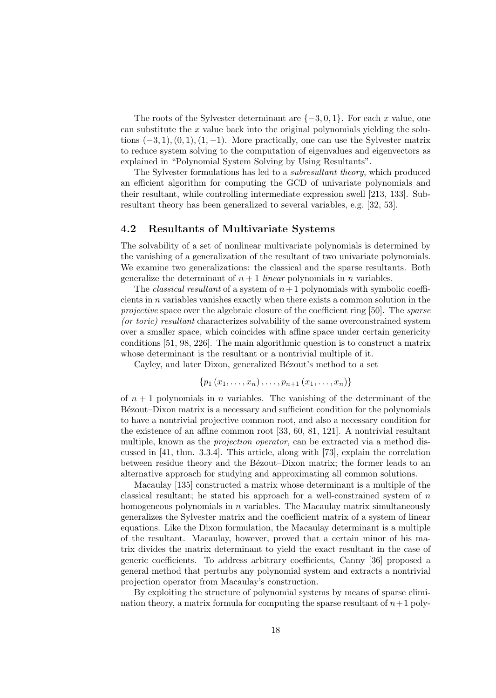The roots of the Sylvester determinant are  $\{-3,0,1\}$ . For each x value, one can substitute the  $x$  value back into the original polynomials yielding the solutions  $(-3, 1), (0, 1), (1, -1)$ . More practically, one can use the Sylvester matrix to reduce system solving to the computation of eigenvalues and eigenvectors as explained in "Polynomial System Solving by Using Resultants".

The Sylvester formulations has led to a subresultant theory, which produced an efficient algorithm for computing the GCD of univariate polynomials and their resultant, while controlling intermediate expression swell [213, 133]. Subresultant theory has been generalized to several variables, e.g. [32, 53].

#### 4.2 Resultants of Multivariate Systems

The solvability of a set of nonlinear multivariate polynomials is determined by the vanishing of a generalization of the resultant of two univariate polynomials. We examine two generalizations: the classical and the sparse resultants. Both generalize the determinant of  $n + 1$  *linear* polynomials in *n* variables.

The *classical resultant* of a system of  $n+1$  polynomials with symbolic coefficients in n variables vanishes exactly when there exists a common solution in the projective space over the algebraic closure of the coefficient ring [50]. The sparse (or toric) resultant characterizes solvability of the same overconstrained system over a smaller space, which coincides with affine space under certain genericity conditions [51, 98, 226]. The main algorithmic question is to construct a matrix whose determinant is the resultant or a nontrivial multiple of it.

Cayley, and later Dixon, generalized Bézout's method to a set

$$
\{p_1(x_1,...,x_n),...,p_{n+1}(x_1,...,x_n)\}\
$$

of  $n + 1$  polynomials in n variables. The vanishing of the determinant of the Bézout–Dixon matrix is a necessary and sufficient condition for the polynomials to have a nontrivial projective common root, and also a necessary condition for the existence of an affine common root [33, 60, 81, 121]. A nontrivial resultant multiple, known as the *projection operator*, can be extracted via a method discussed in [41, thm. 3.3.4]. This article, along with [73], explain the correlation between residue theory and the Bézout–Dixon matrix; the former leads to an alternative approach for studying and approximating all common solutions.

Macaulay [135] constructed a matrix whose determinant is a multiple of the classical resultant; he stated his approach for a well-constrained system of n homogeneous polynomials in  $n$  variables. The Macaulay matrix simultaneously generalizes the Sylvester matrix and the coefficient matrix of a system of linear equations. Like the Dixon formulation, the Macaulay determinant is a multiple of the resultant. Macaulay, however, proved that a certain minor of his matrix divides the matrix determinant to yield the exact resultant in the case of generic coefficients. To address arbitrary coefficients, Canny [36] proposed a general method that perturbs any polynomial system and extracts a nontrivial projection operator from Macaulay's construction.

By exploiting the structure of polynomial systems by means of sparse elimination theory, a matrix formula for computing the sparse resultant of  $n+1$  poly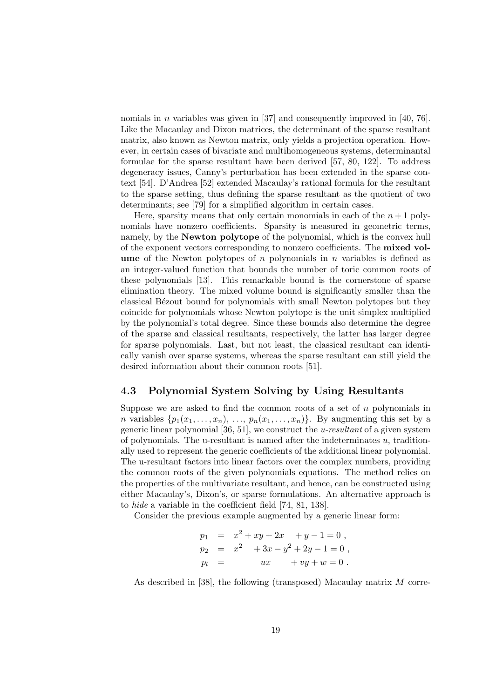nomials in *n* variables was given in [37] and consequently improved in [40, 76]. Like the Macaulay and Dixon matrices, the determinant of the sparse resultant matrix, also known as Newton matrix, only yields a projection operation. However, in certain cases of bivariate and multihomogeneous systems, determinantal formulae for the sparse resultant have been derived [57, 80, 122]. To address degeneracy issues, Canny's perturbation has been extended in the sparse context [54]. D'Andrea [52] extended Macaulay's rational formula for the resultant to the sparse setting, thus defining the sparse resultant as the quotient of two determinants; see [79] for a simplified algorithm in certain cases.

Here, sparsity means that only certain monomials in each of the  $n+1$  polynomials have nonzero coefficients. Sparsity is measured in geometric terms, namely, by the Newton polytope of the polynomial, which is the convex hull of the exponent vectors corresponding to nonzero coefficients. The mixed vol**ume** of the Newton polytopes of n polynomials in  $n$  variables is defined as an integer-valued function that bounds the number of toric common roots of these polynomials [13]. This remarkable bound is the cornerstone of sparse elimination theory. The mixed volume bound is significantly smaller than the classical Bézout bound for polynomials with small Newton polytopes but they coincide for polynomials whose Newton polytope is the unit simplex multiplied by the polynomial's total degree. Since these bounds also determine the degree of the sparse and classical resultants, respectively, the latter has larger degree for sparse polynomials. Last, but not least, the classical resultant can identically vanish over sparse systems, whereas the sparse resultant can still yield the desired information about their common roots [51].

#### 4.3 Polynomial System Solving by Using Resultants

Suppose we are asked to find the common roots of a set of  $n$  polynomials in *n* variables  $\{p_1(x_1, \ldots, x_n), \ldots, p_n(x_1, \ldots, x_n)\}\.$  By augmenting this set by a generic linear polynomial  $[36, 51]$ , we construct the *u-resultant* of a given system of polynomials. The u-resultant is named after the indeterminates  $u$ , traditionally used to represent the generic coefficients of the additional linear polynomial. The u-resultant factors into linear factors over the complex numbers, providing the common roots of the given polynomials equations. The method relies on the properties of the multivariate resultant, and hence, can be constructed using either Macaulay's, Dixon's, or sparse formulations. An alternative approach is to hide a variable in the coefficient field [74, 81, 138].

Consider the previous example augmented by a generic linear form:

$$
p_1 = x^2 + xy + 2x + y - 1 = 0,
$$
  
\n
$$
p_2 = x^2 + 3x - y^2 + 2y - 1 = 0,
$$
  
\n
$$
p_l = ux + vy + w = 0.
$$

As described in [38], the following (transposed) Macaulay matrix M corre-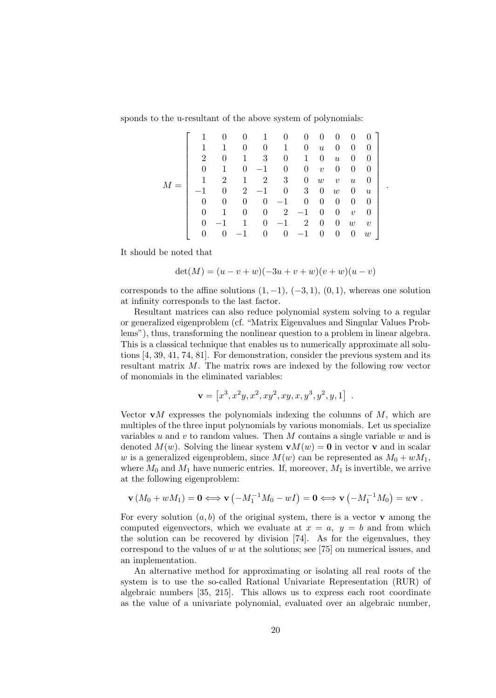sponds to the u-resultant of the above system of polynomials:

$$
M = \left[\begin{array}{cccccccccccc} 1 & 0 & 0 & 1 & 0 & 0 & 0 & 0 & 0 & 0 \\ 1 & 1 & 0 & 0 & 1 & 0 & u & 0 & 0 & 0 \\ 2 & 0 & 1 & 3 & 0 & 1 & 0 & u & 0 & 0 \\ 0 & 1 & 0 & -1 & 0 & 0 & v & 0 & 0 & 0 \\ 1 & 2 & 1 & 2 & 3 & 0 & w & v & u & 0 \\ -1 & 0 & 2 & -1 & 0 & 3 & 0 & w & 0 & u \\ 0 & 0 & 0 & 0 & -1 & 0 & 0 & 0 & 0 & 0 \\ 0 & -1 & 1 & 0 & -1 & 2 & 0 & 0 & w & v \\ 0 & 0 & -1 & 0 & 0 & -1 & 0 & 0 & 0 & w \end{array}\right]
$$

.

It should be noted that

$$
det(M) = (u - v + w)(-3u + v + w)(v + w)(u - v)
$$

corresponds to the affine solutions  $(1, -1)$ ,  $(-3, 1)$ ,  $(0, 1)$ , whereas one solution at infinity corresponds to the last factor.

Resultant matrices can also reduce polynomial system solving to a regular or generalized eigenproblem (cf. "Matrix Eigenvalues and Singular Values Problems"), thus, transforming the nonlinear question to a problem in linear algebra. This is a classical technique that enables us to numerically approximate all solutions [4, 39, 41, 74, 81]. For demonstration, consider the previous system and its resultant matrix M. The matrix rows are indexed by the following row vector of monomials in the eliminated variables:

$$
\mathbf{v} = \left[ x^3, x^2y, x^2, xy^2, xy, x, y^3, y^2, y, 1 \right] .
$$

Vector  $\mathbf{v}M$  expresses the polynomials indexing the columns of  $M$ , which are multiples of the three input polynomials by various monomials. Let us specialize variables u and v to random values. Then M contains a single variable w and is denoted  $M(w)$ . Solving the linear system  $\mathbf{v}M(w) = \mathbf{0}$  in vector  $\mathbf{v}$  and in scalar w is a generalized eigenproblem, since  $M(w)$  can be represented as  $M_0 + wM_1$ , where  $M_0$  and  $M_1$  have numeric entries. If, moreover,  $M_1$  is invertible, we arrive at the following eigenproblem:

$$
\mathbf{v}\left(M_0+wM_1\right)=\mathbf{0}\Longleftrightarrow\mathbf{v}\left(-M_1^{-1}M_0-wI\right)=\mathbf{0}\Longleftrightarrow\mathbf{v}\left(-M_1^{-1}M_0\right)=w\mathbf{v}.
$$

For every solution  $(a, b)$  of the original system, there is a vector **v** among the computed eigenvectors, which we evaluate at  $x = a$ ,  $y = b$  and from which the solution can be recovered by division [74]. As for the eigenvalues, they correspond to the values of w at the solutions; see [75] on numerical issues, and an implementation.

An alternative method for approximating or isolating all real roots of the system is to use the so-called Rational Univariate Representation (RUR) of algebraic numbers [35, 215]. This allows us to express each root coordinate as the value of a univariate polynomial, evaluated over an algebraic number,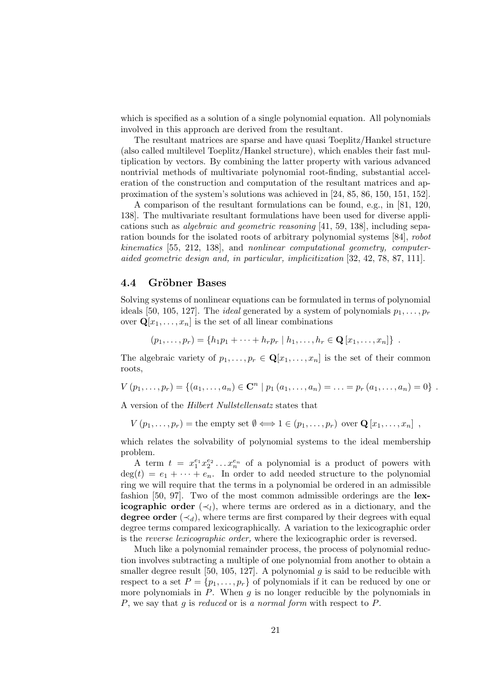which is specified as a solution of a single polynomial equation. All polynomials involved in this approach are derived from the resultant.

The resultant matrices are sparse and have quasi Toeplitz/Hankel structure (also called multilevel Toeplitz/Hankel structure), which enables their fast multiplication by vectors. By combining the latter property with various advanced nontrivial methods of multivariate polynomial root-finding, substantial acceleration of the construction and computation of the resultant matrices and approximation of the system's solutions was achieved in [24, 85, 86, 150, 151, 152].

A comparison of the resultant formulations can be found, e.g., in [81, 120, 138]. The multivariate resultant formulations have been used for diverse applications such as algebraic and geometric reasoning [41, 59, 138], including separation bounds for the isolated roots of arbitrary polynomial systems [84], robot kinematics [55, 212, 138], and nonlinear computational geometry, computeraided geometric design and, in particular, implicitization [32, 42, 78, 87, 111].

#### 4.4 Gröbner Bases

Solving systems of nonlinear equations can be formulated in terms of polynomial ideals [50, 105, 127]. The *ideal* generated by a system of polynomials  $p_1, \ldots, p_r$ over  $\mathbf{Q}[x_1,\ldots,x_n]$  is the set of all linear combinations

$$
(p_1,\ldots,p_r) = \{h_1p_1 + \cdots + h_rp_r \mid h_1,\ldots,h_r \in \mathbf{Q}[x_1,\ldots,x_n]\} .
$$

The algebraic variety of  $p_1, \ldots, p_r \in \mathbf{Q}[x_1, \ldots, x_n]$  is the set of their common roots,

$$
V(p_1,\ldots,p_r) = \{(a_1,\ldots,a_n) \in \mathbf{C}^n \mid p_1(a_1,\ldots,a_n) = \ldots = p_r(a_1,\ldots,a_n) = 0\}.
$$

A version of the Hilbert Nullstellensatz states that

$$
V(p_1,...,p_r)
$$
 = the empty set  $\emptyset \Longleftrightarrow 1 \in (p_1,...,p_r)$  over  $\mathbf{Q}[x_1,...,x_n]$ ,

which relates the solvability of polynomial systems to the ideal membership problem.

A term  $t = x_1^{e_1} x_2^{e_2} \dots x_n^{e_n}$  of a polynomial is a product of powers with  $\deg(t) = e_1 + \cdots + e_n$ . In order to add needed structure to the polynomial ring we will require that the terms in a polynomial be ordered in an admissible fashion [50, 97]. Two of the most common admissible orderings are the lex**icographic order** ( $\prec_l$ ), where terms are ordered as in a dictionary, and the degree order  $(\prec_d)$ , where terms are first compared by their degrees with equal degree terms compared lexicographically. A variation to the lexicographic order is the reverse lexicographic order, where the lexicographic order is reversed.

Much like a polynomial remainder process, the process of polynomial reduction involves subtracting a multiple of one polynomial from another to obtain a smaller degree result [50, 105, 127]. A polynomial  $g$  is said to be reducible with respect to a set  $P = \{p_1, \ldots, p_r\}$  of polynomials if it can be reduced by one or more polynomials in  $P$ . When  $g$  is no longer reducible by the polynomials in P, we say that g is reduced or is a normal form with respect to P.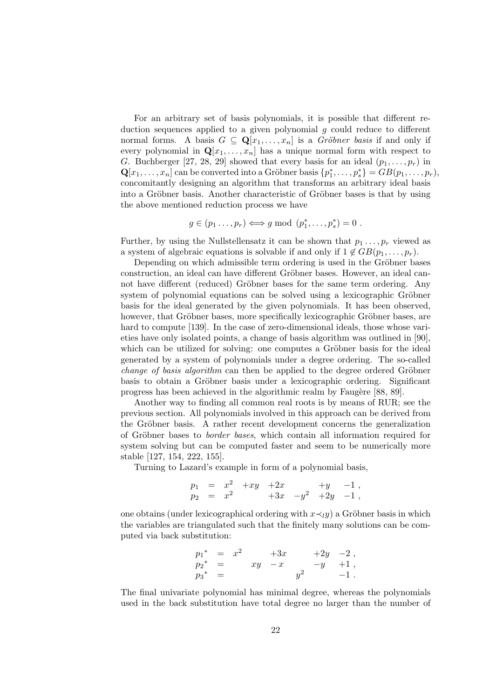For an arbitrary set of basis polynomials, it is possible that different reduction sequences applied to a given polynomial g could reduce to different normal forms. A basis  $G \subseteq \mathbf{Q}[x_1, \ldots, x_n]$  is a *Gröbner basis* if and only if every polynomial in  $\mathbf{Q}[x_1, \ldots, x_n]$  has a unique normal form with respect to G. Buchberger [27, 28, 29] showed that every basis for an ideal  $(p_1, \ldots, p_r)$  in  $\mathbf{Q}[x_1,\ldots,x_n]$  can be converted into a Gröbner basis  $\{p_1^*,\ldots,p_s^*\}=GB(p_1,\ldots,p_r),$ concomitantly designing an algorithm that transforms an arbitrary ideal basis into a Gröbner basis. Another characteristic of Gröbner bases is that by using the above mentioned reduction process we have

$$
g \in (p_1 \ldots, p_r) \Longleftrightarrow g \mod (p_1^*, \ldots, p_s^*) = 0.
$$

Further, by using the Nullstellensatz it can be shown that  $p_1 \ldots, p_r$  viewed as a system of algebraic equations is solvable if and only if  $1 \notin GB(p_1, \ldots, p_r)$ .

Depending on which admissible term ordering is used in the Gröbner bases construction, an ideal can have different Gröbner bases. However, an ideal cannot have different (reduced) Gröbner bases for the same term ordering. Any system of polynomial equations can be solved using a lexicographic Gröbner basis for the ideal generated by the given polynomials. It has been observed, however, that Gröbner bases, more specifically lexicographic Gröbner bases, are hard to compute [139]. In the case of zero-dimensional ideals, those whose varieties have only isolated points, a change of basis algorithm was outlined in [90], which can be utilized for solving: one computes a Gröbner basis for the ideal generated by a system of polynomials under a degree ordering. The so-called change of basis algorithm can then be applied to the degree ordered Gröbner basis to obtain a Gröbner basis under a lexicographic ordering. Significant progress has been achieved in the algorithmic realm by Faugère [88, 89].

Another way to finding all common real roots is by means of RUR; see the previous section. All polynomials involved in this approach can be derived from the Gröbner basis. A rather recent development concerns the generalization of Gröbner bases to *border bases*, which contain all information required for system solving but can be computed faster and seem to be numerically more stable [127, 154, 222, 155].

Turning to Lazard's example in form of a polynomial basis,

$$
p_1 = x^2 + xy + 2x + y - 1,
$$
  
\n
$$
p_2 = x^2 + 3x - y^2 + 2y - 1,
$$

one obtains (under lexicographical ordering with  $x \prec_l y$ ) a Gröbner basis in which the variables are triangulated such that the finitely many solutions can be computed via back substitution:

$$
p_1^* = x^2 +3x +2y -2,
$$
  
\n
$$
p_2^* = xy -x +2y -1,
$$
  
\n
$$
p_3^* = y^2 -1.
$$

The final univariate polynomial has minimal degree, whereas the polynomials used in the back substitution have total degree no larger than the number of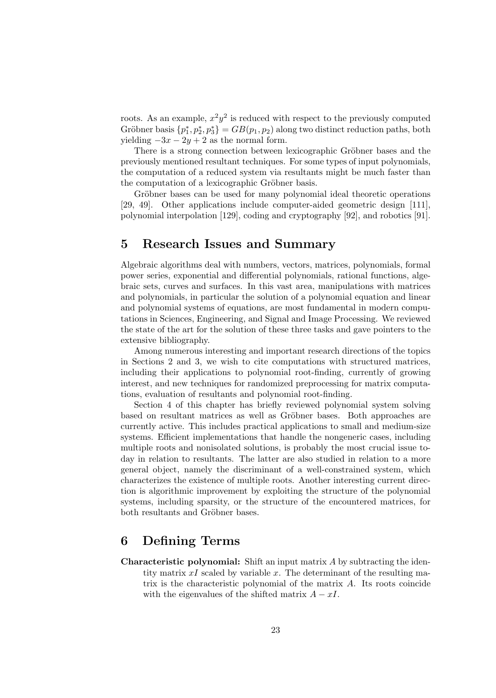roots. As an example,  $x^2y^2$  is reduced with respect to the previously computed Gröbner basis  $\{p_1^*, p_2^*, p_3^*\} = GB(p_1, p_2)$  along two distinct reduction paths, both yielding  $-3x - 2y + 2$  as the normal form.

There is a strong connection between lexicographic Gröbner bases and the previously mentioned resultant techniques. For some types of input polynomials, the computation of a reduced system via resultants might be much faster than the computation of a lexicographic Gröbner basis.

Gröbner bases can be used for many polynomial ideal theoretic operations [29, 49]. Other applications include computer-aided geometric design [111], polynomial interpolation [129], coding and cryptography [92], and robotics [91].

## 5 Research Issues and Summary

Algebraic algorithms deal with numbers, vectors, matrices, polynomials, formal power series, exponential and differential polynomials, rational functions, algebraic sets, curves and surfaces. In this vast area, manipulations with matrices and polynomials, in particular the solution of a polynomial equation and linear and polynomial systems of equations, are most fundamental in modern computations in Sciences, Engineering, and Signal and Image Processing. We reviewed the state of the art for the solution of these three tasks and gave pointers to the extensive bibliography.

Among numerous interesting and important research directions of the topics in Sections 2 and 3, we wish to cite computations with structured matrices, including their applications to polynomial root-finding, currently of growing interest, and new techniques for randomized preprocessing for matrix computations, evaluation of resultants and polynomial root-finding.

Section 4 of this chapter has briefly reviewed polynomial system solving based on resultant matrices as well as Gröbner bases. Both approaches are currently active. This includes practical applications to small and medium-size systems. Efficient implementations that handle the nongeneric cases, including multiple roots and nonisolated solutions, is probably the most crucial issue today in relation to resultants. The latter are also studied in relation to a more general object, namely the discriminant of a well-constrained system, which characterizes the existence of multiple roots. Another interesting current direction is algorithmic improvement by exploiting the structure of the polynomial systems, including sparsity, or the structure of the encountered matrices, for both resultants and Gröbner bases.

# 6 Defining Terms

- Characteristic polynomial: Shift an input matrix A by subtracting the identity matrix  $xI$  scaled by variable x. The determinant of the resulting ma
	- trix is the characteristic polynomial of the matrix A. Its roots coincide with the eigenvalues of the shifted matrix  $A - xI$ .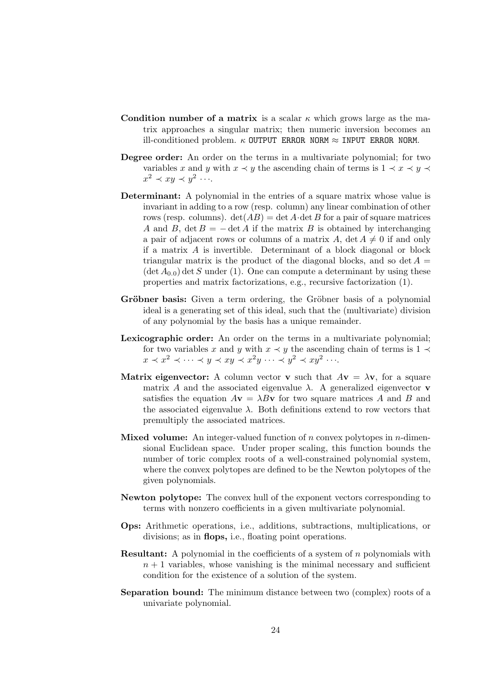- Condition number of a matrix is a scalar  $\kappa$  which grows large as the matrix approaches a singular matrix; then numeric inversion becomes an ill-conditioned problem.  $\kappa$  OUTPUT ERROR NORM  $\approx$  INPUT ERROR NORM.
- Degree order: An order on the terms in a multivariate polynomial; for two variables x and y with  $x \prec y$  the ascending chain of terms is  $1 \prec x \prec y \prec$  $x^2 \prec xy \prec y^2 \cdots$
- Determinant: A polynomial in the entries of a square matrix whose value is invariant in adding to a row (resp. column) any linear combination of other rows (resp. columns).  $\det(AB) = \det A \cdot \det B$  for a pair of square matrices A and B, det  $B = -$  det A if the matrix B is obtained by interchanging a pair of adjacent rows or columns of a matrix A, det  $A \neq 0$  if and only if a matrix A is invertible. Determinant of a block diagonal or block triangular matrix is the product of the diagonal blocks, and so det  $A =$  $(\det A_{0,0})$  det S under (1). One can compute a determinant by using these properties and matrix factorizations, e.g., recursive factorization (1).
- Gröbner basis: Given a term ordering, the Gröbner basis of a polynomial ideal is a generating set of this ideal, such that the (multivariate) division of any polynomial by the basis has a unique remainder.
- Lexicographic order: An order on the terms in a multivariate polynomial; for two variables x and y with  $x \prec y$  the ascending chain of terms is 1  $\prec$  $x \prec x^2 \prec \cdots \prec y \prec xy \prec x^2y \cdots \prec y^2 \prec xy^2 \cdots$
- **Matrix eigenvector:** A column vector **v** such that  $A$ **v** =  $\lambda$ **v**, for a square matrix A and the associated eigenvalue  $\lambda$ . A generalized eigenvector **v** satisfies the equation  $A\mathbf{v} = \lambda B\mathbf{v}$  for two square matrices A and B and the associated eigenvalue  $\lambda$ . Both definitions extend to row vectors that premultiply the associated matrices.
- **Mixed volume:** An integer-valued function of n convex polytopes in  $n$ -dimensional Euclidean space. Under proper scaling, this function bounds the number of toric complex roots of a well-constrained polynomial system, where the convex polytopes are defined to be the Newton polytopes of the given polynomials.
- Newton polytope: The convex hull of the exponent vectors corresponding to terms with nonzero coefficients in a given multivariate polynomial.
- Ops: Arithmetic operations, i.e., additions, subtractions, multiplications, or divisions; as in flops, i.e., floating point operations.
- Resultant: A polynomial in the coefficients of a system of n polynomials with  $n + 1$  variables, whose vanishing is the minimal necessary and sufficient condition for the existence of a solution of the system.
- Separation bound: The minimum distance between two (complex) roots of a univariate polynomial.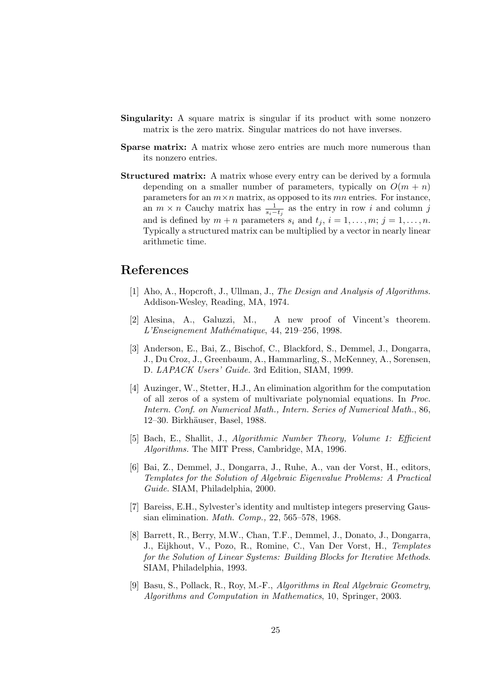- Singularity: A square matrix is singular if its product with some nonzero matrix is the zero matrix. Singular matrices do not have inverses.
- Sparse matrix: A matrix whose zero entries are much more numerous than its nonzero entries.
- Structured matrix: A matrix whose every entry can be derived by a formula depending on a smaller number of parameters, typically on  $O(m + n)$ parameters for an  $m \times n$  matrix, as opposed to its  $mn$  entries. For instance, an  $m \times n$  Cauchy matrix has  $\frac{1}{s_i-t_j}$  as the entry in row i and column j and is defined by  $m + n$  parameters  $s_i$  and  $t_j$ ,  $i = 1, \ldots, m$ ;  $j = 1, \ldots, n$ . Typically a structured matrix can be multiplied by a vector in nearly linear arithmetic time.

## References

- [1] Aho, A., Hopcroft, J., Ullman, J., The Design and Analysis of Algorithms. Addison-Wesley, Reading, MA, 1974.
- [2] Alesina, A., Galuzzi, M., A new proof of Vincent's theorem. L'Enseignement Mathématique, 44, 219–256, 1998.
- [3] Anderson, E., Bai, Z., Bischof, C., Blackford, S., Demmel, J., Dongarra, J., Du Croz, J., Greenbaum, A., Hammarling, S., McKenney, A., Sorensen, D. LAPACK Users' Guide. 3rd Edition, SIAM, 1999.
- [4] Auzinger, W., Stetter, H.J., An elimination algorithm for the computation of all zeros of a system of multivariate polynomial equations. In Proc. Intern. Conf. on Numerical Math., Intern. Series of Numerical Math., 86, 12–30. Birkhäuser, Basel, 1988.
- [5] Bach, E., Shallit, J., Algorithmic Number Theory, Volume 1: Efficient Algorithms. The MIT Press, Cambridge, MA, 1996.
- [6] Bai, Z., Demmel, J., Dongarra, J., Ruhe, A., van der Vorst, H., editors, Templates for the Solution of Algebraic Eigenvalue Problems: A Practical Guide. SIAM, Philadelphia, 2000.
- [7] Bareiss, E.H., Sylvester's identity and multistep integers preserving Gaussian elimination. Math. Comp., 22, 565–578, 1968.
- [8] Barrett, R., Berry, M.W., Chan, T.F., Demmel, J., Donato, J., Dongarra, J., Eijkhout, V., Pozo, R., Romine, C., Van Der Vorst, H., Templates for the Solution of Linear Systems: Building Blocks for Iterative Methods. SIAM, Philadelphia, 1993.
- [9] Basu, S., Pollack, R., Roy, M.-F., Algorithms in Real Algebraic Geometry, Algorithms and Computation in Mathematics, 10, Springer, 2003.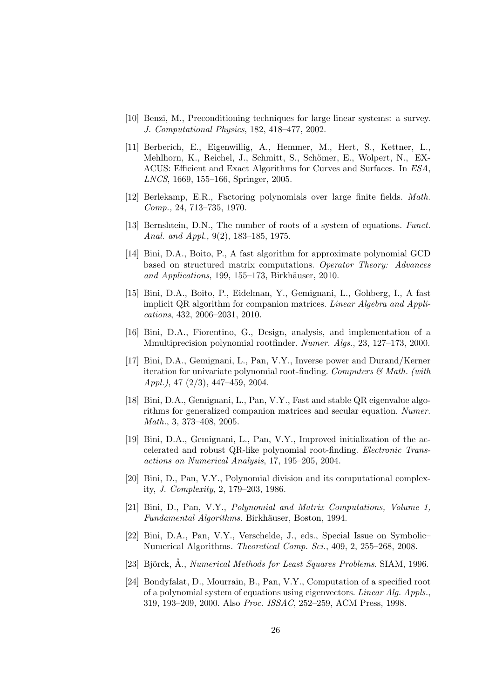- [10] Benzi, M., Preconditioning techniques for large linear systems: a survey. J. Computational Physics, 182, 418–477, 2002.
- [11] Berberich, E., Eigenwillig, A., Hemmer, M., Hert, S., Kettner, L., Mehlhorn, K., Reichel, J., Schmitt, S., Schömer, E., Wolpert, N., EX-ACUS: Efficient and Exact Algorithms for Curves and Surfaces. In ESA, LNCS, 1669, 155–166, Springer, 2005.
- [12] Berlekamp, E.R., Factoring polynomials over large finite fields. Math. Comp., 24, 713–735, 1970.
- [13] Bernshtein, D.N., The number of roots of a system of equations. Funct. Anal. and Appl., 9(2), 183–185, 1975.
- [14] Bini, D.A., Boito, P., A fast algorithm for approximate polynomial GCD based on structured matrix computations. Operator Theory: Advances and Applications, 199, 155–173, Birkhäuser, 2010.
- [15] Bini, D.A., Boito, P., Eidelman, Y., Gemignani, L., Gohberg, I., A fast implicit QR algorithm for companion matrices. Linear Algebra and Applications, 432, 2006–2031, 2010.
- [16] Bini, D.A., Fiorentino, G., Design, analysis, and implementation of a Mmultiprecision polynomial rootfinder. Numer. Algs., 23, 127–173, 2000.
- [17] Bini, D.A., Gemignani, L., Pan, V.Y., Inverse power and Durand/Kerner iteration for univariate polynomial root-finding. Computers  $\mathcal{C}$  Math. (with Appl.), 47 (2/3), 447–459, 2004.
- [18] Bini, D.A., Gemignani, L., Pan, V.Y., Fast and stable QR eigenvalue algorithms for generalized companion matrices and secular equation. Numer. Math., 3, 373–408, 2005.
- [19] Bini, D.A., Gemignani, L., Pan, V.Y., Improved initialization of the accelerated and robust QR-like polynomial root-finding. Electronic Transactions on Numerical Analysis, 17, 195–205, 2004.
- [20] Bini, D., Pan, V.Y., Polynomial division and its computational complexity, J. Complexity, 2, 179–203, 1986.
- [21] Bini, D., Pan, V.Y., Polynomial and Matrix Computations, Volume 1, Fundamental Algorithms. Birkhäuser, Boston, 1994.
- [22] Bini, D.A., Pan, V.Y., Verschelde, J., eds., Special Issue on Symbolic– Numerical Algorithms. Theoretical Comp. Sci., 409, 2, 255–268, 2008.
- [23] Björck, Å., Numerical Methods for Least Squares Problems. SIAM, 1996.
- [24] Bondyfalat, D., Mourrain, B., Pan, V.Y., Computation of a specified root of a polynomial system of equations using eigenvectors. Linear Alg. Appls., 319, 193–209, 2000. Also Proc. ISSAC, 252–259, ACM Press, 1998.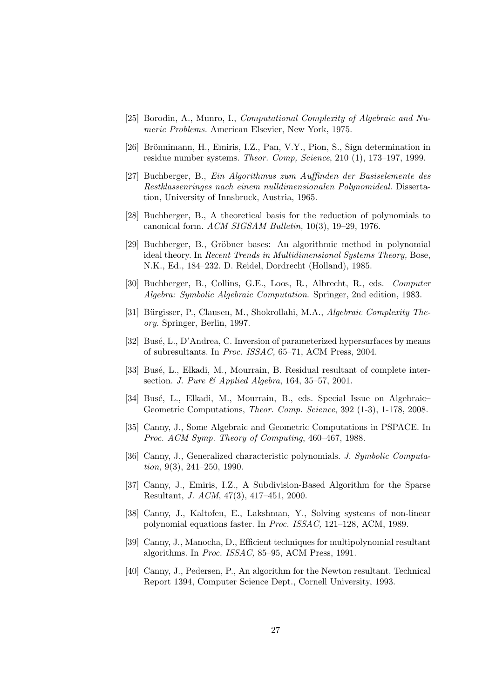- [25] Borodin, A., Munro, I., Computational Complexity of Algebraic and Numeric Problems. American Elsevier, New York, 1975.
- [26] Brönnimann, H., Emiris, I.Z., Pan, V.Y., Pion, S., Sign determination in residue number systems. Theor. Comp, Science, 210 (1), 173–197, 1999.
- [27] Buchberger, B., Ein Algorithmus zum Auffinden der Basiselemente des Restklassenringes nach einem nulldimensionalen Polynomideal. Dissertation, University of Innsbruck, Austria, 1965.
- [28] Buchberger, B., A theoretical basis for the reduction of polynomials to canonical form. ACM SIGSAM Bulletin, 10(3), 19–29, 1976.
- [29] Buchberger, B., Gröbner bases: An algorithmic method in polynomial ideal theory. In Recent Trends in Multidimensional Systems Theory, Bose, N.K., Ed., 184–232. D. Reidel, Dordrecht (Holland), 1985.
- [30] Buchberger, B., Collins, G.E., Loos, R., Albrecht, R., eds. Computer Algebra: Symbolic Algebraic Computation. Springer, 2nd edition, 1983.
- [31] Bürgisser, P., Clausen, M., Shokrollahi, M.A., Algebraic Complexity Theory. Springer, Berlin, 1997.
- [32] Busé, L., D'Andrea, C. Inversion of parameterized hypersurfaces by means of subresultants. In Proc. ISSAC, 65–71, ACM Press, 2004.
- [33] Busé, L., Elkadi, M., Mourrain, B. Residual resultant of complete intersection. J. Pure & Applied Algebra, 164, 35–57, 2001.
- [34] Busé, L., Elkadi, M., Mourrain, B., eds. Special Issue on Algebraic-Geometric Computations, Theor. Comp. Science, 392 (1-3), 1-178, 2008.
- [35] Canny, J., Some Algebraic and Geometric Computations in PSPACE. In Proc. ACM Symp. Theory of Computing, 460–467, 1988.
- [36] Canny, J., Generalized characteristic polynomials. J. Symbolic Computa- $\{tion, 9(3), 241-250, 1990.$
- [37] Canny, J., Emiris, I.Z., A Subdivision-Based Algorithm for the Sparse Resultant, J. ACM, 47(3), 417–451, 2000.
- [38] Canny, J., Kaltofen, E., Lakshman, Y., Solving systems of non-linear polynomial equations faster. In Proc. ISSAC, 121–128, ACM, 1989.
- [39] Canny, J., Manocha, D., Efficient techniques for multipolynomial resultant algorithms. In Proc. ISSAC, 85–95, ACM Press, 1991.
- [40] Canny, J., Pedersen, P., An algorithm for the Newton resultant. Technical Report 1394, Computer Science Dept., Cornell University, 1993.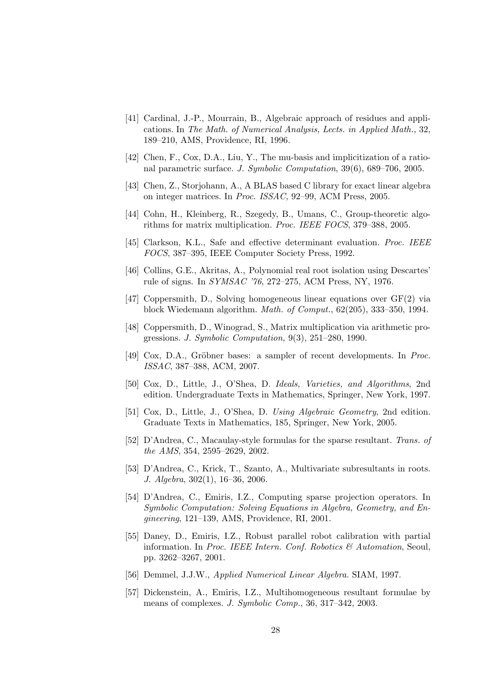- [41] Cardinal, J.-P., Mourrain, B., Algebraic approach of residues and applications. In The Math. of Numerical Analysis, Lects. in Applied Math., 32, 189–210, AMS, Providence, RI, 1996.
- [42] Chen, F., Cox, D.A., Liu, Y., The mu-basis and implicitization of a rational parametric surface. J. Symbolic Computation, 39(6), 689–706, 2005.
- [43] Chen, Z., Storjohann, A., A BLAS based C library for exact linear algebra on integer matrices. In Proc. ISSAC, 92–99, ACM Press, 2005.
- [44] Cohn, H., Kleinberg, R., Szegedy, B., Umans, C., Group-theoretic algorithms for matrix multiplication. Proc. IEEE FOCS, 379–388, 2005.
- [45] Clarkson, K.L., Safe and effective determinant evaluation. Proc. IEEE FOCS, 387–395, IEEE Computer Society Press, 1992.
- [46] Collins, G.E., Akritas, A., Polynomial real root isolation using Descartes' rule of signs. In SYMSAC '76, 272–275, ACM Press, NY, 1976.
- [47] Coppersmith, D., Solving homogeneous linear equations over GF(2) via block Wiedemann algorithm. Math. of Comput., 62(205), 333–350, 1994.
- [48] Coppersmith, D., Winograd, S., Matrix multiplication via arithmetic progressions. J. Symbolic Computation, 9(3), 251–280, 1990.
- [49] Cox, D.A., Gröbner bases: a sampler of recent developments. In Proc. ISSAC, 387–388, ACM, 2007.
- [50] Cox, D., Little, J., O'Shea, D. Ideals, Varieties, and Algorithms, 2nd edition. Undergraduate Texts in Mathematics, Springer, New York, 1997.
- [51] Cox, D., Little, J., O'Shea, D. Using Algebraic Geometry, 2nd edition. Graduate Texts in Mathematics, 185, Springer, New York, 2005.
- [52] D'Andrea, C., Macaulay-style formulas for the sparse resultant. Trans. of the AMS, 354, 2595–2629, 2002.
- [53] D'Andrea, C., Krick, T., Szanto, A., Multivariate subresultants in roots. J. Algebra, 302(1), 16–36, 2006.
- [54] D'Andrea, C., Emiris, I.Z., Computing sparse projection operators. In Symbolic Computation: Solving Equations in Algebra, Geometry, and Engineering, 121–139, AMS, Providence, RI, 2001.
- [55] Daney, D., Emiris, I.Z., Robust parallel robot calibration with partial information. In Proc. IEEE Intern. Conf. Robotics  $\mathcal{B}$  Automation, Seoul, pp. 3262–3267, 2001.
- [56] Demmel, J.J.W., Applied Numerical Linear Algebra. SIAM, 1997.
- [57] Dickenstein, A., Emiris, I.Z., Multihomogeneous resultant formulae by means of complexes. J. Symbolic Comp., 36, 317–342, 2003.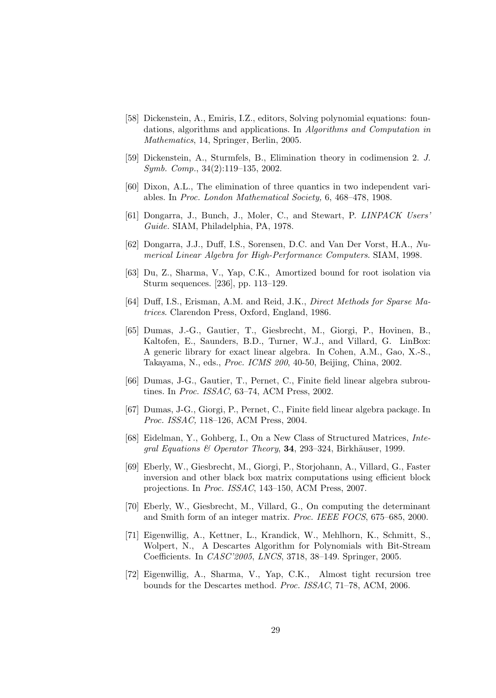- [58] Dickenstein, A., Emiris, I.Z., editors, Solving polynomial equations: foundations, algorithms and applications. In Algorithms and Computation in Mathematics, 14, Springer, Berlin, 2005.
- [59] Dickenstein, A., Sturmfels, B., Elimination theory in codimension 2. J. Symb. Comp., 34(2):119–135, 2002.
- [60] Dixon, A.L., The elimination of three quantics in two independent variables. In Proc. London Mathematical Society, 6, 468–478, 1908.
- [61] Dongarra, J., Bunch, J., Moler, C., and Stewart, P. LINPACK Users' Guide. SIAM, Philadelphia, PA, 1978.
- [62] Dongarra, J.J., Duff, I.S., Sorensen, D.C. and Van Der Vorst, H.A., Numerical Linear Algebra for High-Performance Computers. SIAM, 1998.
- [63] Du, Z., Sharma, V., Yap, C.K., Amortized bound for root isolation via Sturm sequences. [236], pp. 113–129.
- [64] Duff, I.S., Erisman, A.M. and Reid, J.K., Direct Methods for Sparse Matrices. Clarendon Press, Oxford, England, 1986.
- [65] Dumas, J.-G., Gautier, T., Giesbrecht, M., Giorgi, P., Hovinen, B., Kaltofen, E., Saunders, B.D., Turner, W.J., and Villard, G. LinBox: A generic library for exact linear algebra. In Cohen, A.M., Gao, X.-S., Takayama, N., eds., Proc. ICMS 200, 40-50, Beijing, China, 2002.
- [66] Dumas, J-G., Gautier, T., Pernet, C., Finite field linear algebra subroutines. In Proc. ISSAC, 63–74, ACM Press, 2002.
- [67] Dumas, J-G., Giorgi, P., Pernet, C., Finite field linear algebra package. In Proc. ISSAC, 118–126, ACM Press, 2004.
- [68] Eidelman, Y., Gohberg, I., On a New Class of Structured Matrices, Integral Equations & Operator Theory, 34, 293–324, Birkhäuser, 1999.
- [69] Eberly, W., Giesbrecht, M., Giorgi, P., Storjohann, A., Villard, G., Faster inversion and other black box matrix computations using efficient block projections. In Proc. ISSAC, 143–150, ACM Press, 2007.
- [70] Eberly, W., Giesbrecht, M., Villard, G., On computing the determinant and Smith form of an integer matrix. Proc. IEEE FOCS, 675–685, 2000.
- [71] Eigenwillig, A., Kettner, L., Krandick, W., Mehlhorn, K., Schmitt, S., Wolpert, N., A Descartes Algorithm for Polynomials with Bit-Stream Coefficients. In CASC'2005, LNCS, 3718, 38–149. Springer, 2005.
- [72] Eigenwillig, A., Sharma, V., Yap, C.K., Almost tight recursion tree bounds for the Descartes method. Proc. ISSAC, 71–78, ACM, 2006.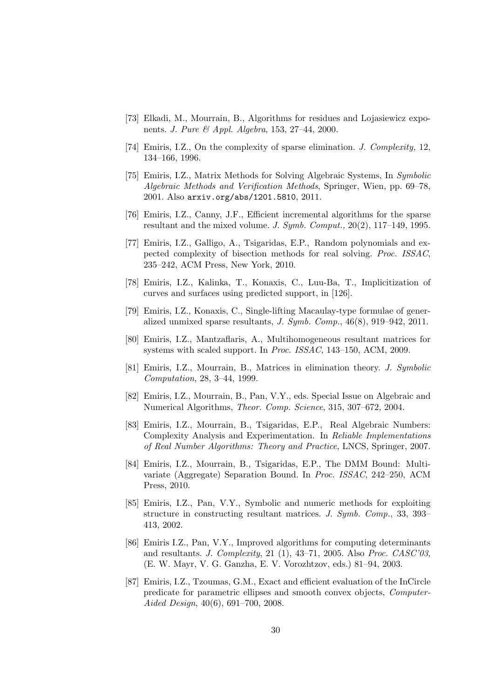- [73] Elkadi, M., Mourrain, B., Algorithms for residues and Lojasiewicz exponents. J. Pure & Appl. Algebra, 153, 27–44, 2000.
- [74] Emiris, I.Z., On the complexity of sparse elimination. J. Complexity, 12, 134–166, 1996.
- [75] Emiris, I.Z., Matrix Methods for Solving Algebraic Systems, In Symbolic Algebraic Methods and Verification Methods, Springer, Wien, pp. 69–78, 2001. Also arxiv.org/abs/1201.5810, 2011.
- [76] Emiris, I.Z., Canny, J.F., Efficient incremental algorithms for the sparse resultant and the mixed volume. J. Symb. Comput., 20(2), 117–149, 1995.
- [77] Emiris, I.Z., Galligo, A., Tsigaridas, E.P., Random polynomials and expected complexity of bisection methods for real solving. Proc. ISSAC, 235–242, ACM Press, New York, 2010.
- [78] Emiris, I.Z., Kalinka, T., Konaxis, C., Luu-Ba, T., Implicitization of curves and surfaces using predicted support, in [126].
- [79] Emiris, I.Z., Konaxis, C., Single-lifting Macaulay-type formulae of generalized unmixed sparse resultants, J. Symb. Comp., 46(8), 919–942, 2011.
- [80] Emiris, I.Z., Mantzaflaris, A., Multihomogeneous resultant matrices for systems with scaled support. In Proc. ISSAC, 143–150, ACM, 2009.
- [81] Emiris, I.Z., Mourrain, B., Matrices in elimination theory. J. Symbolic Computation, 28, 3–44, 1999.
- [82] Emiris, I.Z., Mourrain, B., Pan, V.Y., eds. Special Issue on Algebraic and Numerical Algorithms, Theor. Comp. Science, 315, 307–672, 2004.
- [83] Emiris, I.Z., Mourrain, B., Tsigaridas, E.P., Real Algebraic Numbers: Complexity Analysis and Experimentation. In Reliable Implementations of Real Number Algorithms: Theory and Practice, LNCS, Springer, 2007.
- [84] Emiris, I.Z., Mourrain, B., Tsigaridas, E.P., The DMM Bound: Multivariate (Aggregate) Separation Bound. In Proc. ISSAC, 242–250, ACM Press, 2010.
- [85] Emiris, I.Z., Pan, V.Y., Symbolic and numeric methods for exploiting structure in constructing resultant matrices. J. Symb. Comp., 33, 393– 413, 2002.
- [86] Emiris I.Z., Pan, V.Y., Improved algorithms for computing determinants and resultants. J. Complexity, 21 (1), 43–71, 2005. Also Proc. CASC'03, (E. W. Mayr, V. G. Ganzha, E. V. Vorozhtzov, eds.) 81–94, 2003.
- [87] Emiris, I.Z., Tzoumas, G.M., Exact and efficient evaluation of the InCircle predicate for parametric ellipses and smooth convex objects, Computer-Aided Design, 40(6), 691–700, 2008.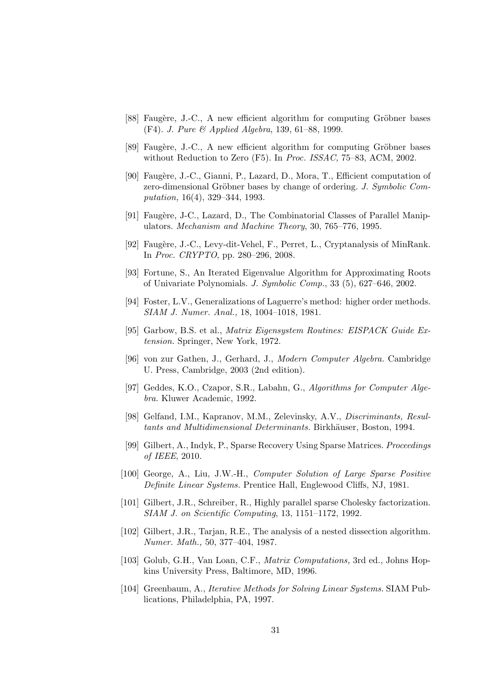- [88] Faugère, J.-C., A new efficient algorithm for computing Gröbner bases (F4). J. Pure & Applied Algebra, 139, 61–88, 1999.
- [89] Faugère, J.-C., A new efficient algorithm for computing Gröbner bases without Reduction to Zero (F5). In Proc. ISSAC, 75–83, ACM, 2002.
- [90] Faug`ere, J.-C., Gianni, P., Lazard, D., Mora, T., Efficient computation of zero-dimensional Gröbner bases by change of ordering. J. Symbolic Computation, 16(4), 329–344, 1993.
- [91] Faugère, J-C., Lazard, D., The Combinatorial Classes of Parallel Manipulators. Mechanism and Machine Theory, 30, 765–776, 1995.
- [92] Faugère, J.-C., Levy-dit-Vehel, F., Perret, L., Cryptanalysis of MinRank. In Proc. CRYPTO, pp. 280–296, 2008.
- [93] Fortune, S., An Iterated Eigenvalue Algorithm for Approximating Roots of Univariate Polynomials. J. Symbolic Comp., 33 (5), 627–646, 2002.
- [94] Foster, L.V., Generalizations of Laguerre's method: higher order methods. SIAM J. Numer. Anal., 18, 1004–1018, 1981.
- [95] Garbow, B.S. et al., Matrix Eigensystem Routines: EISPACK Guide Extension. Springer, New York, 1972.
- [96] von zur Gathen, J., Gerhard, J., Modern Computer Algebra. Cambridge U. Press, Cambridge, 2003 (2nd edition).
- [97] Geddes, K.O., Czapor, S.R., Labahn, G., Algorithms for Computer Algebra. Kluwer Academic, 1992.
- [98] Gelfand, I.M., Kapranov, M.M., Zelevinsky, A.V., Discriminants, Resultants and Multidimensional Determinants. Birkhäuser, Boston, 1994.
- [99] Gilbert, A., Indyk, P., Sparse Recovery Using Sparse Matrices. Proceedings of IEEE, 2010.
- [100] George, A., Liu, J.W.-H., Computer Solution of Large Sparse Positive Definite Linear Systems. Prentice Hall, Englewood Cliffs, NJ, 1981.
- [101] Gilbert, J.R., Schreiber, R., Highly parallel sparse Cholesky factorization. SIAM J. on Scientific Computing, 13, 1151–1172, 1992.
- [102] Gilbert, J.R., Tarjan, R.E., The analysis of a nested dissection algorithm. Numer. Math., 50, 377–404, 1987.
- [103] Golub, G.H., Van Loan, C.F., Matrix Computations, 3rd ed., Johns Hopkins University Press, Baltimore, MD, 1996.
- [104] Greenbaum, A., Iterative Methods for Solving Linear Systems. SIAM Publications, Philadelphia, PA, 1997.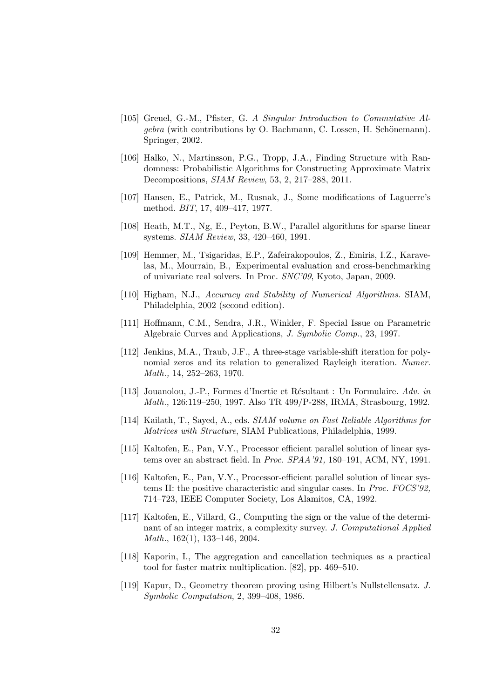- [105] Greuel, G.-M., Pfister, G. A Singular Introduction to Commutative Al $gebra$  (with contributions by O. Bachmann, C. Lossen, H. Schönemann). Springer, 2002.
- [106] Halko, N., Martinsson, P.G., Tropp, J.A., Finding Structure with Randomness: Probabilistic Algorithms for Constructing Approximate Matrix Decompositions, SIAM Review, 53, 2, 217–288, 2011.
- [107] Hansen, E., Patrick, M., Rusnak, J., Some modifications of Laguerre's method. BIT, 17, 409–417, 1977.
- [108] Heath, M.T., Ng, E., Peyton, B.W., Parallel algorithms for sparse linear systems. SIAM Review, 33, 420–460, 1991.
- [109] Hemmer, M., Tsigaridas, E.P., Zafeirakopoulos, Z., Emiris, I.Z., Karavelas, M., Mourrain, B., Experimental evaluation and cross-benchmarking of univariate real solvers. In Proc. SNC'09, Kyoto, Japan, 2009.
- [110] Higham, N.J., Accuracy and Stability of Numerical Algorithms. SIAM, Philadelphia, 2002 (second edition).
- [111] Hoffmann, C.M., Sendra, J.R., Winkler, F. Special Issue on Parametric Algebraic Curves and Applications, J. Symbolic Comp., 23, 1997.
- [112] Jenkins, M.A., Traub, J.F., A three-stage variable-shift iteration for polynomial zeros and its relation to generalized Rayleigh iteration. Numer. Math., 14, 252–263, 1970.
- [113] Jouanolou, J.-P., Formes d'Inertie et Résultant : Un Formulaire. Adv. in Math., 126:119–250, 1997. Also TR 499/P-288, IRMA, Strasbourg, 1992.
- [114] Kailath, T., Sayed, A., eds. SIAM volume on Fast Reliable Algorithms for Matrices with Structure, SIAM Publications, Philadelphia, 1999.
- [115] Kaltofen, E., Pan, V.Y., Processor efficient parallel solution of linear systems over an abstract field. In Proc. SPAA'91, 180–191, ACM, NY, 1991.
- [116] Kaltofen, E., Pan, V.Y., Processor-efficient parallel solution of linear systems II: the positive characteristic and singular cases. In Proc. FOCS'92, 714–723, IEEE Computer Society, Los Alamitos, CA, 1992.
- [117] Kaltofen, E., Villard, G., Computing the sign or the value of the determinant of an integer matrix, a complexity survey. J. Computational Applied Math., 162(1), 133–146, 2004.
- [118] Kaporin, I., The aggregation and cancellation techniques as a practical tool for faster matrix multiplication. [82], pp. 469–510.
- [119] Kapur, D., Geometry theorem proving using Hilbert's Nullstellensatz. J. Symbolic Computation, 2, 399–408, 1986.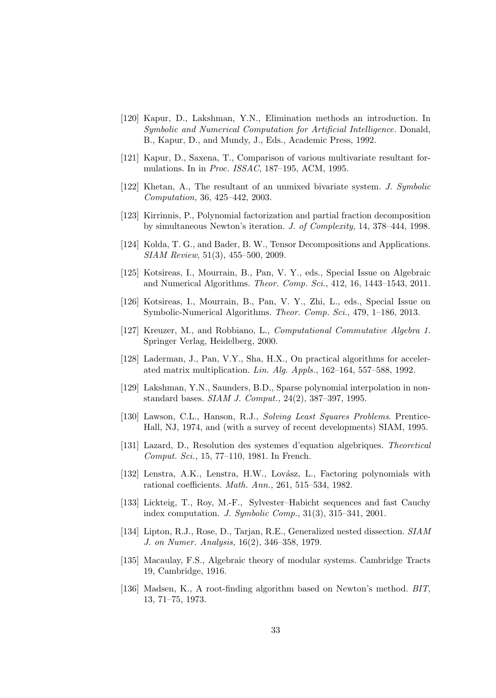- [120] Kapur, D., Lakshman, Y.N., Elimination methods an introduction. In Symbolic and Numerical Computation for Artificial Intelligence. Donald, B., Kapur, D., and Mundy, J., Eds., Academic Press, 1992.
- [121] Kapur, D., Saxena, T., Comparison of various multivariate resultant formulations. In in Proc. ISSAC, 187–195, ACM, 1995.
- [122] Khetan, A., The resultant of an unmixed bivariate system. J. Symbolic Computation, 36, 425–442, 2003.
- [123] Kirrinnis, P., Polynomial factorization and partial fraction decomposition by simultaneous Newton's iteration. J. of Complexity, 14, 378–444, 1998.
- [124] Kolda, T. G., and Bader, B. W., Tensor Decompositions and Applications. SIAM Review, 51(3), 455–500, 2009.
- [125] Kotsireas, I., Mourrain, B., Pan, V. Y., eds., Special Issue on Algebraic and Numerical Algorithms. Theor. Comp. Sci., 412, 16, 1443–1543, 2011.
- [126] Kotsireas, I., Mourrain, B., Pan, V. Y., Zhi, L., eds., Special Issue on Symbolic-Numerical Algorithms. Theor. Comp. Sci., 479, 1–186, 2013.
- [127] Kreuzer, M., and Robbiano, L., Computational Commutative Algebra 1. Springer Verlag, Heidelberg, 2000.
- [128] Laderman, J., Pan, V.Y., Sha, H.X., On practical algorithms for accelerated matrix multiplication. Lin. Alg. Appls., 162–164, 557–588, 1992.
- [129] Lakshman, Y.N., Saunders, B.D., Sparse polynomial interpolation in nonstandard bases. SIAM J. Comput., 24(2), 387–397, 1995.
- [130] Lawson, C.L., Hanson, R.J., Solving Least Squares Problems. Prentice-Hall, NJ, 1974, and (with a survey of recent developments) SIAM, 1995.
- [131] Lazard, D., Resolution des systemes d'equation algebriques. Theoretical Comput. Sci., 15, 77–110, 1981. In French.
- [132] Lenstra, A.K., Lenstra, H.W., Lovász, L., Factoring polynomials with rational coefficients. Math. Ann., 261, 515–534, 1982.
- [133] Lickteig, T., Roy, M.-F., Sylvester–Habicht sequences and fast Cauchy index computation. J. Symbolic Comp., 31(3), 315–341, 2001.
- [134] Lipton, R.J., Rose, D., Tarjan, R.E., Generalized nested dissection. SIAM J. on Numer. Analysis, 16(2), 346–358, 1979.
- [135] Macaulay, F.S., Algebraic theory of modular systems. Cambridge Tracts 19, Cambridge, 1916.
- [136] Madsen, K., A root-finding algorithm based on Newton's method. BIT, 13, 71–75, 1973.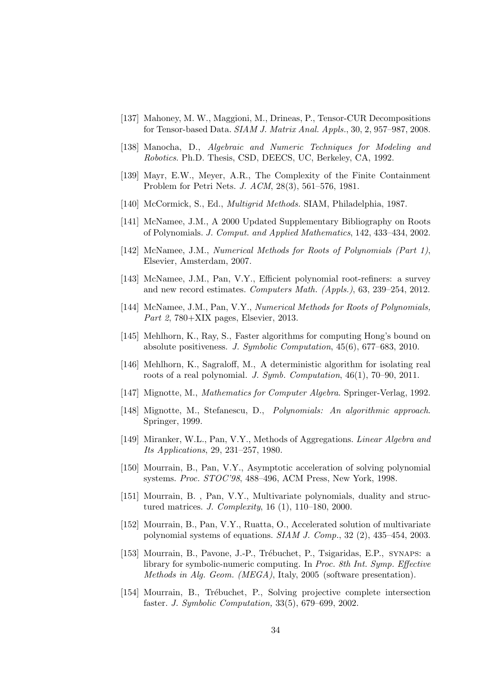- [137] Mahoney, M. W., Maggioni, M., Drineas, P., Tensor-CUR Decompositions for Tensor-based Data. SIAM J. Matrix Anal. Appls., 30, 2, 957–987, 2008.
- [138] Manocha, D., Algebraic and Numeric Techniques for Modeling and Robotics. Ph.D. Thesis, CSD, DEECS, UC, Berkeley, CA, 1992.
- [139] Mayr, E.W., Meyer, A.R., The Complexity of the Finite Containment Problem for Petri Nets. J. ACM, 28(3), 561–576, 1981.
- [140] McCormick, S., Ed., Multigrid Methods. SIAM, Philadelphia, 1987.
- [141] McNamee, J.M., A 2000 Updated Supplementary Bibliography on Roots of Polynomials. J. Comput. and Applied Mathematics, 142, 433–434, 2002.
- [142] McNamee, J.M., Numerical Methods for Roots of Polynomials (Part 1), Elsevier, Amsterdam, 2007.
- [143] McNamee, J.M., Pan, V.Y., Efficient polynomial root-refiners: a survey and new record estimates. Computers Math. (Appls.), 63, 239–254, 2012.
- [144] McNamee, J.M., Pan, V.Y., Numerical Methods for Roots of Polynomials, Part 2, 780+XIX pages, Elsevier, 2013.
- [145] Mehlhorn, K., Ray, S., Faster algorithms for computing Hong's bound on absolute positiveness. J. Symbolic Computation, 45(6), 677–683, 2010.
- [146] Mehlhorn, K., Sagraloff, M., A deterministic algorithm for isolating real roots of a real polynomial. J. Symb. Computation, 46(1), 70–90, 2011.
- [147] Mignotte, M., Mathematics for Computer Algebra. Springer-Verlag, 1992.
- [148] Mignotte, M., Stefanescu, D., Polynomials: An algorithmic approach. Springer, 1999.
- [149] Miranker, W.L., Pan, V.Y., Methods of Aggregations. Linear Algebra and Its Applications, 29, 231–257, 1980.
- [150] Mourrain, B., Pan, V.Y., Asymptotic acceleration of solving polynomial systems. Proc. STOC'98, 488–496, ACM Press, New York, 1998.
- [151] Mourrain, B. , Pan, V.Y., Multivariate polynomials, duality and structured matrices. J. Complexity, 16 (1), 110–180, 2000.
- [152] Mourrain, B., Pan, V.Y., Ruatta, O., Accelerated solution of multivariate polynomial systems of equations. SIAM J. Comp., 32 (2), 435–454, 2003.
- [153] Mourrain, B., Pavone, J.-P., Trébuchet, P., Tsigaridas, E.P., SYNAPS: a library for symbolic-numeric computing. In Proc. 8th Int. Symp. Effective Methods in Alg. Geom. (MEGA), Italy, 2005 (software presentation).
- [154] Mourrain, B., Trébuchet, P., Solving projective complete intersection faster. J. Symbolic Computation, 33(5), 679–699, 2002.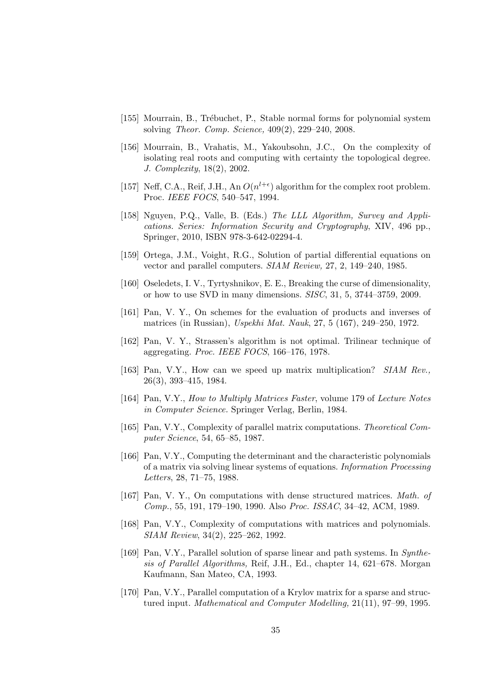- [155] Mourrain, B., Trébuchet, P., Stable normal forms for polynomial system solving Theor. Comp. Science, 409(2), 229–240, 2008.
- [156] Mourrain, B., Vrahatis, M., Yakoubsohn, J.C., On the complexity of isolating real roots and computing with certainty the topological degree. J. Complexity, 18(2), 2002.
- [157] Neff, C.A., Reif, J.H., An  $O(n^{l+\epsilon})$  algorithm for the complex root problem. Proc. IEEE FOCS, 540–547, 1994.
- [158] Nguyen, P.Q., Valle, B. (Eds.) The LLL Algorithm, Survey and Applications. Series: Information Security and Cryptography, XIV, 496 pp., Springer, 2010, ISBN 978-3-642-02294-4.
- [159] Ortega, J.M., Voight, R.G., Solution of partial differential equations on vector and parallel computers. SIAM Review, 27, 2, 149–240, 1985.
- [160] Oseledets, I. V., Tyrtyshnikov, E. E., Breaking the curse of dimensionality, or how to use SVD in many dimensions. SISC, 31, 5, 3744–3759, 2009.
- [161] Pan, V. Y., On schemes for the evaluation of products and inverses of matrices (in Russian), Uspekhi Mat. Nauk, 27, 5 (167), 249–250, 1972.
- [162] Pan, V. Y., Strassen's algorithm is not optimal. Trilinear technique of aggregating. Proc. IEEE FOCS, 166–176, 1978.
- [163] Pan, V.Y., How can we speed up matrix multiplication? SIAM Rev., 26(3), 393–415, 1984.
- [164] Pan, V.Y., How to Multiply Matrices Faster, volume 179 of Lecture Notes in Computer Science. Springer Verlag, Berlin, 1984.
- [165] Pan, V.Y., Complexity of parallel matrix computations. Theoretical Computer Science, 54, 65–85, 1987.
- [166] Pan, V.Y., Computing the determinant and the characteristic polynomials of a matrix via solving linear systems of equations. Information Processing Letters, 28, 71–75, 1988.
- [167] Pan, V. Y., On computations with dense structured matrices. Math. of Comp., 55, 191, 179–190, 1990. Also Proc. ISSAC, 34–42, ACM, 1989.
- [168] Pan, V.Y., Complexity of computations with matrices and polynomials. SIAM Review, 34(2), 225–262, 1992.
- [169] Pan, V.Y., Parallel solution of sparse linear and path systems. In Synthesis of Parallel Algorithms, Reif, J.H., Ed., chapter 14, 621–678. Morgan Kaufmann, San Mateo, CA, 1993.
- [170] Pan, V.Y., Parallel computation of a Krylov matrix for a sparse and structured input. Mathematical and Computer Modelling, 21(11), 97–99, 1995.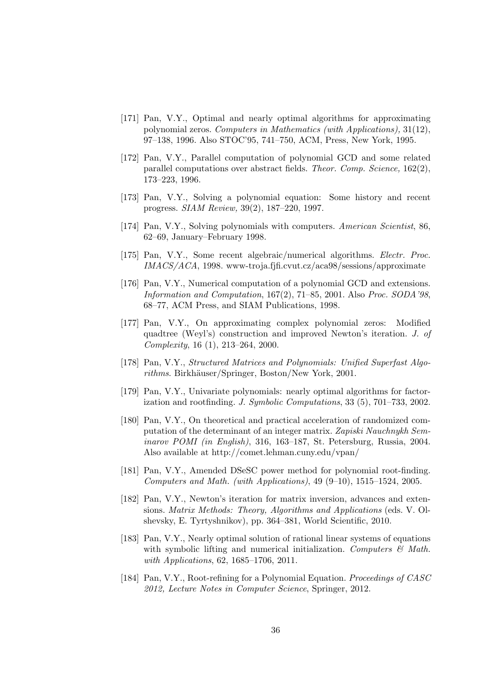- [171] Pan, V.Y., Optimal and nearly optimal algorithms for approximating polynomial zeros. Computers in Mathematics (with Applications), 31(12), 97–138, 1996. Also STOC'95, 741–750, ACM, Press, New York, 1995.
- [172] Pan, V.Y., Parallel computation of polynomial GCD and some related parallel computations over abstract fields. Theor. Comp. Science, 162(2), 173–223, 1996.
- [173] Pan, V.Y., Solving a polynomial equation: Some history and recent progress. SIAM Review, 39(2), 187–220, 1997.
- [174] Pan, V.Y., Solving polynomials with computers. American Scientist, 86, 62–69, January–February 1998.
- [175] Pan, V.Y., Some recent algebraic/numerical algorithms. Electr. Proc. IMACS/ACA, 1998. www-troja.fjfi.cvut.cz/aca98/sessions/approximate
- [176] Pan, V.Y., Numerical computation of a polynomial GCD and extensions. Information and Computation, 167(2), 71–85, 2001. Also Proc. SODA'98, 68–77, ACM Press, and SIAM Publications, 1998.
- [177] Pan, V.Y., On approximating complex polynomial zeros: Modified quadtree (Weyl's) construction and improved Newton's iteration. J. of Complexity, 16 (1), 213–264, 2000.
- [178] Pan, V.Y., Structured Matrices and Polynomials: Unified Superfast Algorithms. Birkhäuser/Springer, Boston/New York, 2001.
- [179] Pan, V.Y., Univariate polynomials: nearly optimal algorithms for factorization and rootfinding. J. Symbolic Computations, 33 (5), 701–733, 2002.
- [180] Pan, V.Y., On theoretical and practical acceleration of randomized computation of the determinant of an integer matrix. Zapiski Nauchnykh Seminarov POMI (in English), 316, 163–187, St. Petersburg, Russia, 2004. Also available at http://comet.lehman.cuny.edu/vpan/
- [181] Pan, V.Y., Amended DSeSC power method for polynomial root-finding. Computers and Math. (with Applications), 49 (9–10), 1515–1524, 2005.
- [182] Pan, V.Y., Newton's iteration for matrix inversion, advances and extensions. Matrix Methods: Theory, Algorithms and Applications (eds. V. Olshevsky, E. Tyrtyshnikov), pp. 364–381, World Scientific, 2010.
- [183] Pan, V.Y., Nearly optimal solution of rational linear systems of equations with symbolic lifting and numerical initialization. Computers  $\mathcal{C}$  Math. with *Applications*, 62, 1685–1706, 2011.
- [184] Pan, V.Y., Root-refining for a Polynomial Equation. Proceedings of CASC 2012, Lecture Notes in Computer Science, Springer, 2012.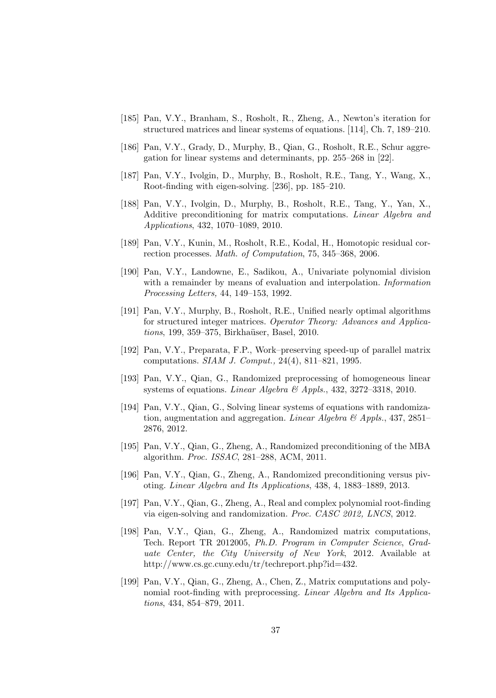- [185] Pan, V.Y., Branham, S., Rosholt, R., Zheng, A., Newton's iteration for structured matrices and linear systems of equations. [114], Ch. 7, 189–210.
- [186] Pan, V.Y., Grady, D., Murphy, B., Qian, G., Rosholt, R.E., Schur aggregation for linear systems and determinants, pp. 255–268 in [22].
- [187] Pan, V.Y., Ivolgin, D., Murphy, B., Rosholt, R.E., Tang, Y., Wang, X., Root-finding with eigen-solving. [236], pp. 185–210.
- [188] Pan, V.Y., Ivolgin, D., Murphy, B., Rosholt, R.E., Tang, Y., Yan, X., Additive preconditioning for matrix computations. Linear Algebra and Applications, 432, 1070–1089, 2010.
- [189] Pan, V.Y., Kunin, M., Rosholt, R.E., Kodal, H., Homotopic residual correction processes. Math. of Computation, 75, 345–368, 2006.
- [190] Pan, V.Y., Landowne, E., Sadikou, A., Univariate polynomial division with a remainder by means of evaluation and interpolation. *Information* Processing Letters, 44, 149–153, 1992.
- [191] Pan, V.Y., Murphy, B., Rosholt, R.E., Unified nearly optimal algorithms for structured integer matrices. Operator Theory: Advances and Applications, 199, 359–375, Birkhaüser, Basel, 2010.
- [192] Pan, V.Y., Preparata, F.P., Work–preserving speed-up of parallel matrix computations. SIAM J. Comput., 24(4), 811–821, 1995.
- [193] Pan, V.Y., Qian, G., Randomized preprocessing of homogeneous linear systems of equations. *Linear Algebra & Appls.*, 432, 3272-3318, 2010.
- [194] Pan, V.Y., Qian, G., Solving linear systems of equations with randomization, augmentation and aggregation. Linear Algebra & Appls., 437, 2851– 2876, 2012.
- [195] Pan, V.Y., Qian, G., Zheng, A., Randomized preconditioning of the MBA algorithm. Proc. ISSAC, 281–288, ACM, 2011.
- [196] Pan, V.Y., Qian, G., Zheng, A., Randomized preconditioning versus pivoting. Linear Algebra and Its Applications, 438, 4, 1883–1889, 2013.
- [197] Pan, V.Y., Qian, G., Zheng, A., Real and complex polynomial root-finding via eigen-solving and randomization. Proc. CASC 2012, LNCS, 2012.
- [198] Pan, V.Y., Qian, G., Zheng, A., Randomized matrix computations, Tech. Report TR 2012005, Ph.D. Program in Computer Science, Graduate Center, the City University of New York, 2012. Available at http://www.cs.gc.cuny.edu/tr/techreport.php?id=432.
- [199] Pan, V.Y., Qian, G., Zheng, A., Chen, Z., Matrix computations and polynomial root-finding with preprocessing. *Linear Algebra and Its Applica*tions, 434, 854–879, 2011.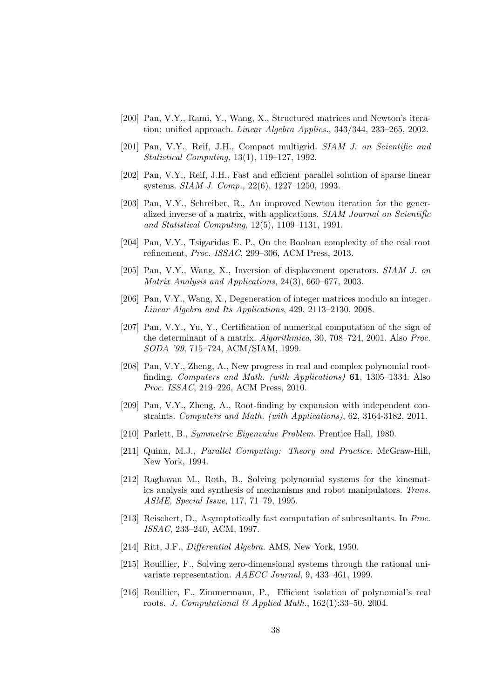- [200] Pan, V.Y., Rami, Y., Wang, X., Structured matrices and Newton's iteration: unified approach. Linear Algebra Applics., 343/344, 233–265, 2002.
- [201] Pan, V.Y., Reif, J.H., Compact multigrid. SIAM J. on Scientific and Statistical Computing, 13(1), 119–127, 1992.
- [202] Pan, V.Y., Reif, J.H., Fast and efficient parallel solution of sparse linear systems. SIAM J. Comp., 22(6), 1227–1250, 1993.
- [203] Pan, V.Y., Schreiber, R., An improved Newton iteration for the generalized inverse of a matrix, with applications. SIAM Journal on Scientific and Statistical Computing, 12(5), 1109–1131, 1991.
- [204] Pan, V.Y., Tsigaridas E. P., On the Boolean complexity of the real root refinement, Proc. ISSAC, 299–306, ACM Press, 2013.
- [205] Pan, V.Y., Wang, X., Inversion of displacement operators. SIAM J. on Matrix Analysis and Applications, 24(3), 660–677, 2003.
- [206] Pan, V.Y., Wang, X., Degeneration of integer matrices modulo an integer. Linear Algebra and Its Applications, 429, 2113–2130, 2008.
- [207] Pan, V.Y., Yu, Y., Certification of numerical computation of the sign of the determinant of a matrix. Algorithmica, 30, 708–724, 2001. Also Proc. SODA '99, 715–724, ACM/SIAM, 1999.
- [208] Pan, V.Y., Zheng, A., New progress in real and complex polynomial rootfinding. Computers and Math. (with Applications) 61, 1305–1334. Also Proc. ISSAC, 219–226, ACM Press, 2010.
- [209] Pan, V.Y., Zheng, A., Root-finding by expansion with independent constraints. Computers and Math. (with Applications), 62, 3164-3182, 2011.
- [210] Parlett, B., Symmetric Eigenvalue Problem. Prentice Hall, 1980.
- [211] Quinn, M.J., Parallel Computing: Theory and Practice. McGraw-Hill, New York, 1994.
- [212] Raghavan M., Roth, B., Solving polynomial systems for the kinematics analysis and synthesis of mechanisms and robot manipulators. Trans. ASME, Special Issue, 117, 71–79, 1995.
- [213] Reischert, D., Asymptotically fast computation of subresultants. In Proc. ISSAC, 233–240, ACM, 1997.
- [214] Ritt, J.F., Differential Algebra. AMS, New York, 1950.
- [215] Rouillier, F., Solving zero-dimensional systems through the rational univariate representation. AAECC Journal, 9, 433–461, 1999.
- [216] Rouillier, F., Zimmermann, P., Efficient isolation of polynomial's real roots. J. Computational & Applied Math.,  $162(1):33-50$ , 2004.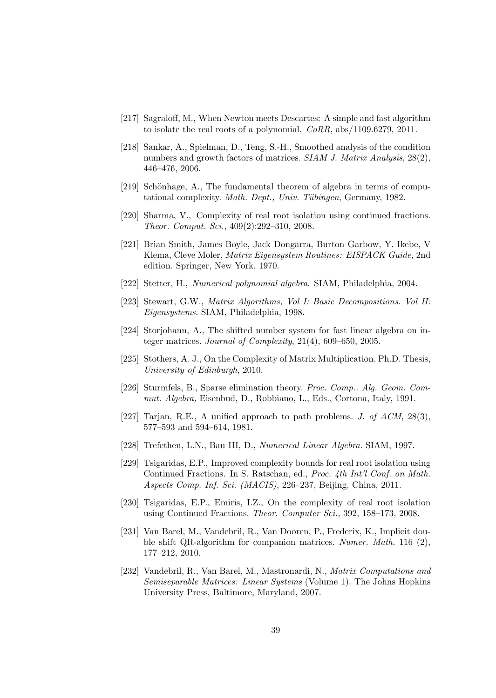- [217] Sagraloff, M., When Newton meets Descartes: A simple and fast algorithm to isolate the real roots of a polynomial.  $CoRR$ , abs/1109.6279, 2011.
- [218] Sankar, A., Spielman, D., Teng, S.-H., Smoothed analysis of the condition numbers and growth factors of matrices. SIAM J. Matrix Analysis, 28(2), 446–476, 2006.
- [219] Schönhage, A., The fundamental theorem of algebra in terms of computational complexity. Math. Dept., Univ. Tübingen, Germany, 1982.
- [220] Sharma, V., Complexity of real root isolation using continued fractions. Theor. Comput. Sci., 409(2):292–310, 2008.
- [221] Brian Smith, James Boyle, Jack Dongarra, Burton Garbow, Y. Ikebe, V Klema, Cleve Moler, Matrix Eigensystem Routines: EISPACK Guide, 2nd edition. Springer, New York, 1970.
- [222] Stetter, H., Numerical polynomial algebra. SIAM, Philadelphia, 2004.
- [223] Stewart, G.W., Matrix Algorithms, Vol I: Basic Decompositions. Vol II: Eigensystems. SIAM, Philadelphia, 1998.
- [224] Storjohann, A., The shifted number system for fast linear algebra on integer matrices. Journal of Complexity, 21(4), 609–650, 2005.
- [225] Stothers, A. J., On the Complexity of Matrix Multiplication. Ph.D. Thesis, University of Edinburgh, 2010.
- [226] Sturmfels, B., Sparse elimination theory. Proc. Comp.. Alg. Geom. Commut. Algebra, Eisenbud, D., Robbiano, L., Eds., Cortona, Italy, 1991.
- [227] Tarjan, R.E., A unified approach to path problems. J. of  $ACM$ , 28(3), 577–593 and 594–614, 1981.
- [228] Trefethen, L.N., Bau III, D., Numerical Linear Algebra. SIAM, 1997.
- [229] Tsigaridas, E.P., Improved complexity bounds for real root isolation using Continued Fractions. In S. Ratschan, ed., Proc. 4th Int'l Conf. on Math. Aspects Comp. Inf. Sci. (MACIS), 226–237, Beijing, China, 2011.
- [230] Tsigaridas, E.P., Emiris, I.Z., On the complexity of real root isolation using Continued Fractions. Theor. Computer Sci., 392, 158–173, 2008.
- [231] Van Barel, M., Vandebril, R., Van Dooren, P., Frederix, K., Implicit double shift QR-algorithm for companion matrices. Numer. Math. 116 (2), 177–212, 2010.
- [232] Vandebril, R., Van Barel, M., Mastronardi, N., Matrix Computations and Semiseparable Matrices: Linear Systems (Volume 1). The Johns Hopkins University Press, Baltimore, Maryland, 2007.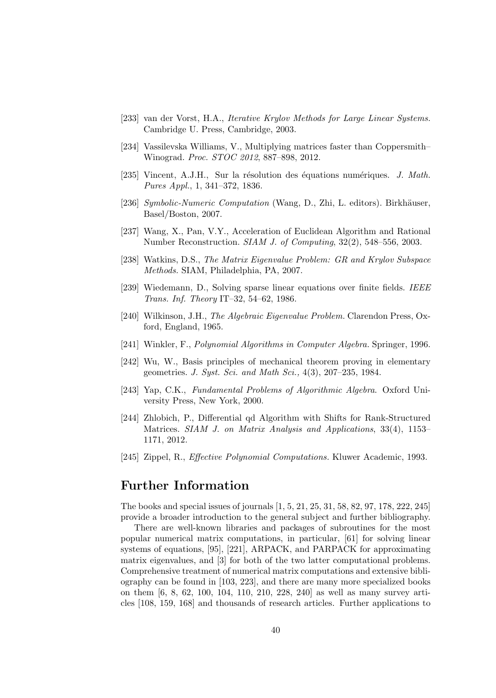- [233] van der Vorst, H.A., Iterative Krylov Methods for Large Linear Systems. Cambridge U. Press, Cambridge, 2003.
- [234] Vassilevska Williams, V., Multiplying matrices faster than Coppersmith– Winograd. Proc. STOC 2012, 887–898, 2012.
- [235] Vincent, A.J.H., Sur la résolution des équations numériques. J. Math. Pures Appl., 1, 341–372, 1836.
- [236] Symbolic-Numeric Computation (Wang, D., Zhi, L. editors). Birkhäuser, Basel/Boston, 2007.
- [237] Wang, X., Pan, V.Y., Acceleration of Euclidean Algorithm and Rational Number Reconstruction. SIAM J. of Computing, 32(2), 548–556, 2003.
- [238] Watkins, D.S., The Matrix Eigenvalue Problem: GR and Krylov Subspace Methods. SIAM, Philadelphia, PA, 2007.
- [239] Wiedemann, D., Solving sparse linear equations over finite fields. IEEE Trans. Inf. Theory IT–32, 54–62, 1986.
- [240] Wilkinson, J.H., The Algebraic Eigenvalue Problem. Clarendon Press, Oxford, England, 1965.
- [241] Winkler, F., Polynomial Algorithms in Computer Algebra. Springer, 1996.
- [242] Wu, W., Basis principles of mechanical theorem proving in elementary geometries. J. Syst. Sci. and Math Sci., 4(3), 207–235, 1984.
- [243] Yap, C.K., Fundamental Problems of Algorithmic Algebra. Oxford University Press, New York, 2000.
- [244] Zhlobich, P., Differential qd Algorithm with Shifts for Rank-Structured Matrices. SIAM J. on Matrix Analysis and Applications, 33(4), 1153– 1171, 2012.
- [245] Zippel, R., Effective Polynomial Computations. Kluwer Academic, 1993.

### Further Information

The books and special issues of journals [1, 5, 21, 25, 31, 58, 82, 97, 178, 222, 245] provide a broader introduction to the general subject and further bibliography.

There are well-known libraries and packages of subroutines for the most popular numerical matrix computations, in particular, [61] for solving linear systems of equations, [95], [221], ARPACK, and PARPACK for approximating matrix eigenvalues, and [3] for both of the two latter computational problems. Comprehensive treatment of numerical matrix computations and extensive bibliography can be found in [103, 223], and there are many more specialized books on them [6, 8, 62, 100, 104, 110, 210, 228, 240] as well as many survey articles [108, 159, 168] and thousands of research articles. Further applications to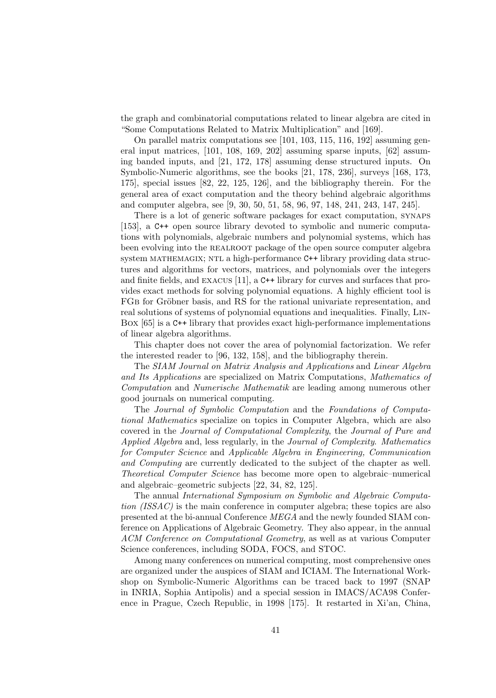the graph and combinatorial computations related to linear algebra are cited in "Some Computations Related to Matrix Multiplication" and [169].

On parallel matrix computations see [101, 103, 115, 116, 192] assuming general input matrices, [101, 108, 169, 202] assuming sparse inputs, [62] assuming banded inputs, and [21, 172, 178] assuming dense structured inputs. On Symbolic-Numeric algorithms, see the books [21, 178, 236], surveys [168, 173, 175], special issues [82, 22, 125, 126], and the bibliography therein. For the general area of exact computation and the theory behind algebraic algorithms and computer algebra, see [9, 30, 50, 51, 58, 96, 97, 148, 241, 243, 147, 245].

There is a lot of generic software packages for exact computation, synaps [153], a C++ open source library devoted to symbolic and numeric computations with polynomials, algebraic numbers and polynomial systems, which has been evolving into the realroot package of the open source computer algebra system MATHEMAGIX; NTL a high-performance C++ library providing data structures and algorithms for vectors, matrices, and polynomials over the integers and finite fields, and exacus [11], a C++ library for curves and surfaces that provides exact methods for solving polynomial equations. A highly efficient tool is FGB for Gröbner basis, and RS for the rational univariate representation, and real solutions of systems of polynomial equations and inequalities. Finally, Lin-Box [65] is a C++ library that provides exact high-performance implementations of linear algebra algorithms.

This chapter does not cover the area of polynomial factorization. We refer the interested reader to [96, 132, 158], and the bibliography therein.

The SIAM Journal on Matrix Analysis and Applications and Linear Algebra and Its Applications are specialized on Matrix Computations, Mathematics of Computation and Numerische Mathematik are leading among numerous other good journals on numerical computing.

The Journal of Symbolic Computation and the Foundations of Computational Mathematics specialize on topics in Computer Algebra, which are also covered in the Journal of Computational Complexity, the Journal of Pure and Applied Algebra and, less regularly, in the Journal of Complexity. Mathematics for Computer Science and Applicable Algebra in Engineering, Communication and Computing are currently dedicated to the subject of the chapter as well. Theoretical Computer Science has become more open to algebraic–numerical and algebraic–geometric subjects [22, 34, 82, 125].

The annual International Symposium on Symbolic and Algebraic Computation (ISSAC) is the main conference in computer algebra; these topics are also presented at the bi-annual Conference MEGA and the newly founded SIAM conference on Applications of Algebraic Geometry. They also appear, in the annual ACM Conference on Computational Geometry, as well as at various Computer Science conferences, including SODA, FOCS, and STOC.

Among many conferences on numerical computing, most comprehensive ones are organized under the auspices of SIAM and ICIAM. The International Workshop on Symbolic-Numeric Algorithms can be traced back to 1997 (SNAP in INRIA, Sophia Antipolis) and a special session in IMACS/ACA98 Conference in Prague, Czech Republic, in 1998 [175]. It restarted in Xi'an, China,